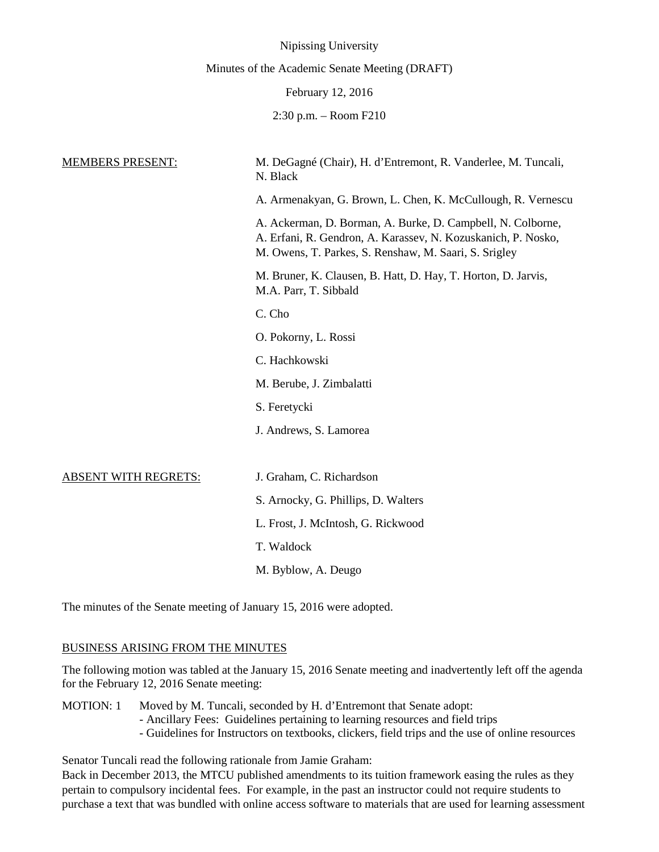|                             | Nipissing University                                                                                                                                                                  |
|-----------------------------|---------------------------------------------------------------------------------------------------------------------------------------------------------------------------------------|
|                             | Minutes of the Academic Senate Meeting (DRAFT)                                                                                                                                        |
|                             | February 12, 2016                                                                                                                                                                     |
|                             | $2:30$ p.m. $-$ Room F210                                                                                                                                                             |
|                             |                                                                                                                                                                                       |
| <b>MEMBERS PRESENT:</b>     | M. DeGagné (Chair), H. d'Entremont, R. Vanderlee, M. Tuncali,<br>N. Black                                                                                                             |
|                             | A. Armenakyan, G. Brown, L. Chen, K. McCullough, R. Vernescu                                                                                                                          |
|                             | A. Ackerman, D. Borman, A. Burke, D. Campbell, N. Colborne,<br>A. Erfani, R. Gendron, A. Karassev, N. Kozuskanich, P. Nosko,<br>M. Owens, T. Parkes, S. Renshaw, M. Saari, S. Srigley |
|                             | M. Bruner, K. Clausen, B. Hatt, D. Hay, T. Horton, D. Jarvis,<br>M.A. Parr, T. Sibbald                                                                                                |
|                             | C. Cho                                                                                                                                                                                |
|                             | O. Pokorny, L. Rossi                                                                                                                                                                  |
|                             | C. Hachkowski                                                                                                                                                                         |
|                             | M. Berube, J. Zimbalatti                                                                                                                                                              |
|                             | S. Feretycki                                                                                                                                                                          |
|                             | J. Andrews, S. Lamorea                                                                                                                                                                |
|                             |                                                                                                                                                                                       |
| <b>ABSENT WITH REGRETS:</b> | J. Graham, C. Richardson                                                                                                                                                              |
|                             | S. Arnocky, G. Phillips, D. Walters                                                                                                                                                   |
|                             | L. Frost, J. McIntosh, G. Rickwood                                                                                                                                                    |
|                             | T. Waldock                                                                                                                                                                            |
|                             | M. Byblow, A. Deugo                                                                                                                                                                   |
|                             |                                                                                                                                                                                       |

The minutes of the Senate meeting of January 15, 2016 were adopted.

# BUSINESS ARISING FROM THE MINUTES

The following motion was tabled at the January 15, 2016 Senate meeting and inadvertently left off the agenda for the February 12, 2016 Senate meeting:

MOTION: 1 Moved by M. Tuncali, seconded by H. d'Entremont that Senate adopt: - Ancillary Fees: Guidelines pertaining to learning resources and field trips - Guidelines for Instructors on textbooks, clickers, field trips and the use of online resources

Senator Tuncali read the following rationale from Jamie Graham:

Back in December 2013, the MTCU published amendments to its tuition framework easing the rules as they pertain to compulsory incidental fees. For example, in the past an instructor could not require students to purchase a text that was bundled with online access software to materials that are used for learning assessment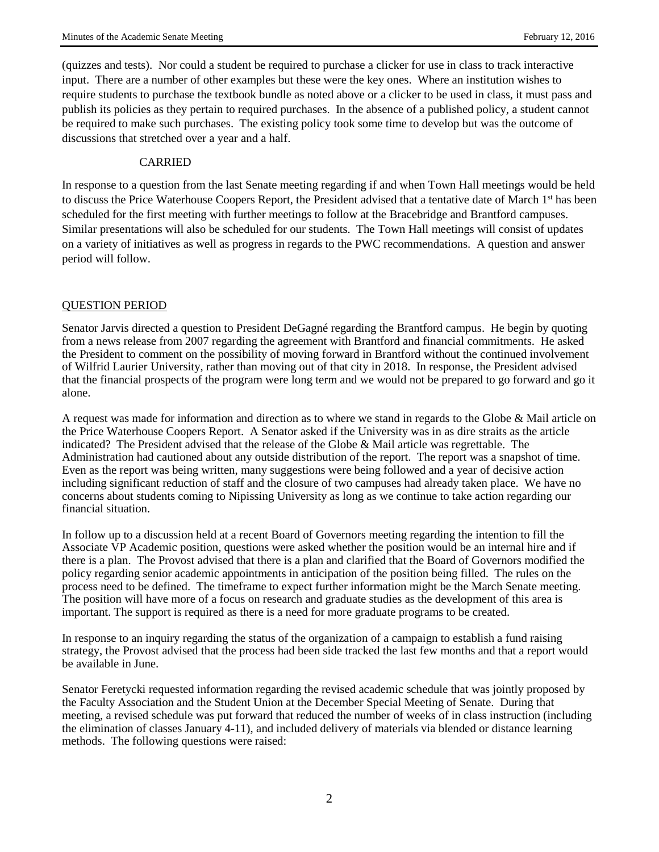(quizzes and tests). Nor could a student be required to purchase a clicker for use in class to track interactive input. There are a number of other examples but these were the key ones. Where an institution wishes to require students to purchase the textbook bundle as noted above or a clicker to be used in class, it must pass and publish its policies as they pertain to required purchases. In the absence of a published policy, a student cannot be required to make such purchases. The existing policy took some time to develop but was the outcome of discussions that stretched over a year and a half.

## CARRIED

In response to a question from the last Senate meeting regarding if and when Town Hall meetings would be held to discuss the Price Waterhouse Coopers Report, the President advised that a tentative date of March 1<sup>st</sup> has been scheduled for the first meeting with further meetings to follow at the Bracebridge and Brantford campuses. Similar presentations will also be scheduled for our students. The Town Hall meetings will consist of updates on a variety of initiatives as well as progress in regards to the PWC recommendations. A question and answer period will follow.

# QUESTION PERIOD

Senator Jarvis directed a question to President DeGagné regarding the Brantford campus. He begin by quoting from a news release from 2007 regarding the agreement with Brantford and financial commitments. He asked the President to comment on the possibility of moving forward in Brantford without the continued involvement of Wilfrid Laurier University, rather than moving out of that city in 2018. In response, the President advised that the financial prospects of the program were long term and we would not be prepared to go forward and go it alone.

A request was made for information and direction as to where we stand in regards to the Globe & Mail article on the Price Waterhouse Coopers Report. A Senator asked if the University was in as dire straits as the article indicated? The President advised that the release of the Globe & Mail article was regrettable. The Administration had cautioned about any outside distribution of the report. The report was a snapshot of time. Even as the report was being written, many suggestions were being followed and a year of decisive action including significant reduction of staff and the closure of two campuses had already taken place. We have no concerns about students coming to Nipissing University as long as we continue to take action regarding our financial situation.

In follow up to a discussion held at a recent Board of Governors meeting regarding the intention to fill the Associate VP Academic position, questions were asked whether the position would be an internal hire and if there is a plan. The Provost advised that there is a plan and clarified that the Board of Governors modified the policy regarding senior academic appointments in anticipation of the position being filled. The rules on the process need to be defined. The timeframe to expect further information might be the March Senate meeting. The position will have more of a focus on research and graduate studies as the development of this area is important. The support is required as there is a need for more graduate programs to be created.

In response to an inquiry regarding the status of the organization of a campaign to establish a fund raising strategy, the Provost advised that the process had been side tracked the last few months and that a report would be available in June.

Senator Feretycki requested information regarding the revised academic schedule that was jointly proposed by the Faculty Association and the Student Union at the December Special Meeting of Senate. During that meeting, a revised schedule was put forward that reduced the number of weeks of in class instruction (including the elimination of classes January 4-11), and included delivery of materials via blended or distance learning methods. The following questions were raised: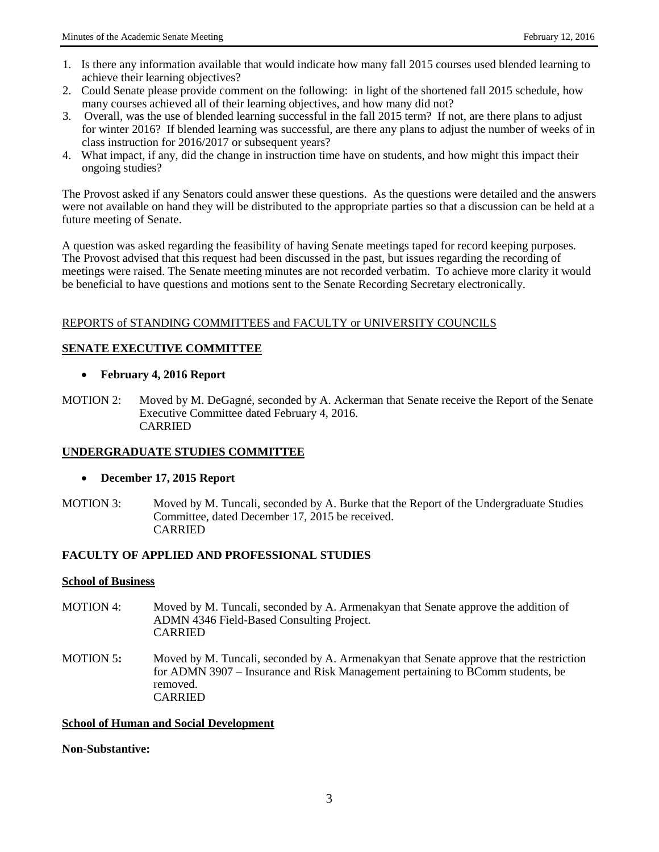- 1. Is there any information available that would indicate how many fall 2015 courses used blended learning to achieve their learning objectives?
- 2. Could Senate please provide comment on the following: in light of the shortened fall 2015 schedule, how many courses achieved all of their learning objectives, and how many did not?
- 3. Overall, was the use of blended learning successful in the fall 2015 term? If not, are there plans to adjust for winter 2016? If blended learning was successful, are there any plans to adjust the number of weeks of in class instruction for 2016/2017 or subsequent years?
- 4. What impact, if any, did the change in instruction time have on students, and how might this impact their ongoing studies?

The Provost asked if any Senators could answer these questions. As the questions were detailed and the answers were not available on hand they will be distributed to the appropriate parties so that a discussion can be held at a future meeting of Senate.

A question was asked regarding the feasibility of having Senate meetings taped for record keeping purposes. The Provost advised that this request had been discussed in the past, but issues regarding the recording of meetings were raised. The Senate meeting minutes are not recorded verbatim. To achieve more clarity it would be beneficial to have questions and motions sent to the Senate Recording Secretary electronically.

## REPORTS of STANDING COMMITTEES and FACULTY or UNIVERSITY COUNCILS

## **SENATE EXECUTIVE COMMITTEE**

### • **February 4, 2016 Report**

MOTION 2: Moved by M. DeGagné, seconded by A. Ackerman that Senate receive the Report of the Senate Executive Committee dated February 4, 2016. CARRIED

## **UNDERGRADUATE STUDIES COMMITTEE**

#### • **December 17, 2015 Report**

MOTION 3: Moved by M. Tuncali, seconded by A. Burke that the Report of the Undergraduate Studies Committee, dated December 17, 2015 be received. CARRIED

#### **FACULTY OF APPLIED AND PROFESSIONAL STUDIES**

#### **School of Business**

- MOTION 4: Moved by M. Tuncali, seconded by A. Armenakyan that Senate approve the addition of ADMN 4346 Field-Based Consulting Project. CARRIED
- MOTION 5**:** Moved by M. Tuncali, seconded by A. Armenakyan that Senate approve that the restriction for ADMN 3907 – Insurance and Risk Management pertaining to BComm students, be removed. CARRIED

#### **School of Human and Social Development**

**Non-Substantive:**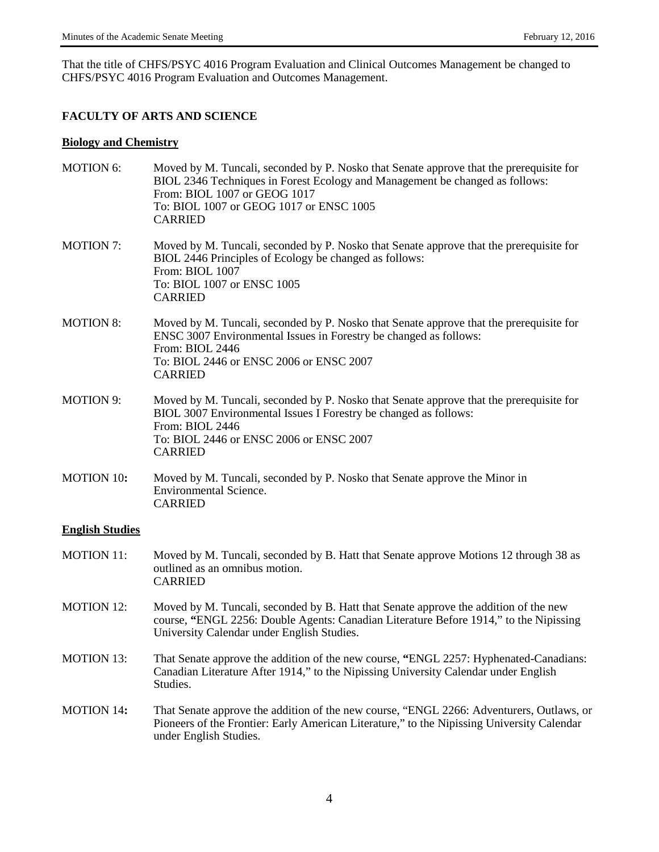That the title of CHFS/PSYC 4016 Program Evaluation and Clinical Outcomes Management be changed to CHFS/PSYC 4016 Program Evaluation and Outcomes Management.

# **FACULTY OF ARTS AND SCIENCE**

### **Biology and Chemistry**

| <b>MOTION 6:</b>       | Moved by M. Tuncali, seconded by P. Nosko that Senate approve that the prerequisite for<br>BIOL 2346 Techniques in Forest Ecology and Management be changed as follows:<br>From: BIOL 1007 or GEOG 1017<br>To: BIOL 1007 or GEOG 1017 or ENSC 1005<br><b>CARRIED</b> |
|------------------------|----------------------------------------------------------------------------------------------------------------------------------------------------------------------------------------------------------------------------------------------------------------------|
| <b>MOTION 7:</b>       | Moved by M. Tuncali, seconded by P. Nosko that Senate approve that the prerequisite for<br>BIOL 2446 Principles of Ecology be changed as follows:<br>From: BIOL 1007<br>To: BIOL 1007 or ENSC 1005<br><b>CARRIED</b>                                                 |
| <b>MOTION 8:</b>       | Moved by M. Tuncali, seconded by P. Nosko that Senate approve that the prerequisite for<br>ENSC 3007 Environmental Issues in Forestry be changed as follows:<br>From: BIOL 2446<br>To: BIOL 2446 or ENSC 2006 or ENSC 2007<br><b>CARRIED</b>                         |
| <b>MOTION 9:</b>       | Moved by M. Tuncali, seconded by P. Nosko that Senate approve that the prerequisite for<br>BIOL 3007 Environmental Issues I Forestry be changed as follows:<br>From: BIOL 2446<br>To: BIOL 2446 or ENSC 2006 or ENSC 2007<br><b>CARRIED</b>                          |
| <b>MOTION 10:</b>      | Moved by M. Tuncali, seconded by P. Nosko that Senate approve the Minor in<br><b>Environmental Science.</b><br><b>CARRIED</b>                                                                                                                                        |
| <b>English Studies</b> |                                                                                                                                                                                                                                                                      |
| <b>MOTION 11:</b>      | Moved by M. Tuncali, seconded by B. Hatt that Senate approve Motions 12 through 38 as<br>outlined as an omnibus motion.<br><b>CARRIED</b>                                                                                                                            |
| <b>MOTION 12:</b>      | Moved by M. Tuncali, seconded by B. Hatt that Senate approve the addition of the new<br>course, "ENGL 2256: Double Agents: Canadian Literature Before 1914," to the Nipissing<br>University Calendar under English Studies.                                          |
| <b>MOTION 13:</b>      | That Senate approve the addition of the new course, "ENGL 2257: Hyphenated-Canadians:<br>Canadian Literature After 1914," to the Nipissing University Calendar under English<br>Studies.                                                                             |
| <b>MOTION 14:</b>      | That Senate approve the addition of the new course, "ENGL 2266: Adventurers, Outlaws, or<br>Pioneers of the Frontier: Early American Literature," to the Nipissing University Calendar<br>under English Studies.                                                     |
|                        |                                                                                                                                                                                                                                                                      |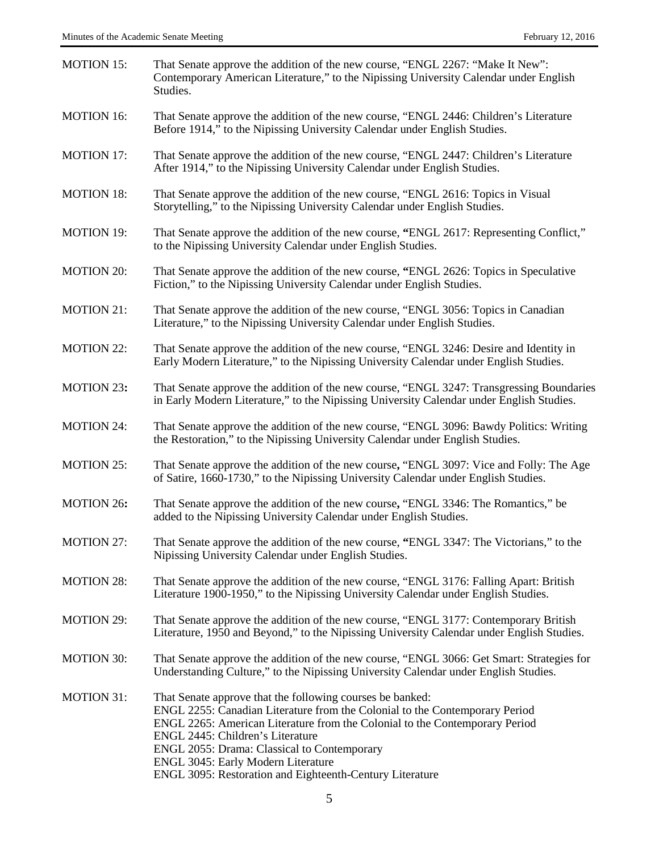| <b>MOTION 15:</b> | That Senate approve the addition of the new course, "ENGL 2267: "Make It New":<br>Contemporary American Literature," to the Nipissing University Calendar under English<br>Studies.                                                                                                                                                                                                                          |
|-------------------|--------------------------------------------------------------------------------------------------------------------------------------------------------------------------------------------------------------------------------------------------------------------------------------------------------------------------------------------------------------------------------------------------------------|
| <b>MOTION 16:</b> | That Senate approve the addition of the new course, "ENGL 2446: Children's Literature<br>Before 1914," to the Nipissing University Calendar under English Studies.                                                                                                                                                                                                                                           |
| <b>MOTION 17:</b> | That Senate approve the addition of the new course, "ENGL 2447: Children's Literature<br>After 1914," to the Nipissing University Calendar under English Studies.                                                                                                                                                                                                                                            |
| <b>MOTION 18:</b> | That Senate approve the addition of the new course, "ENGL 2616: Topics in Visual<br>Storytelling," to the Nipissing University Calendar under English Studies.                                                                                                                                                                                                                                               |
| <b>MOTION 19:</b> | That Senate approve the addition of the new course, "ENGL 2617: Representing Conflict,"<br>to the Nipissing University Calendar under English Studies.                                                                                                                                                                                                                                                       |
| <b>MOTION 20:</b> | That Senate approve the addition of the new course, "ENGL 2626: Topics in Speculative<br>Fiction," to the Nipissing University Calendar under English Studies.                                                                                                                                                                                                                                               |
| <b>MOTION 21:</b> | That Senate approve the addition of the new course, "ENGL 3056: Topics in Canadian<br>Literature," to the Nipissing University Calendar under English Studies.                                                                                                                                                                                                                                               |
| <b>MOTION 22:</b> | That Senate approve the addition of the new course, "ENGL 3246: Desire and Identity in<br>Early Modern Literature," to the Nipissing University Calendar under English Studies.                                                                                                                                                                                                                              |
| <b>MOTION 23:</b> | That Senate approve the addition of the new course, "ENGL 3247: Transgressing Boundaries<br>in Early Modern Literature," to the Nipissing University Calendar under English Studies.                                                                                                                                                                                                                         |
| <b>MOTION 24:</b> | That Senate approve the addition of the new course, "ENGL 3096: Bawdy Politics: Writing<br>the Restoration," to the Nipissing University Calendar under English Studies.                                                                                                                                                                                                                                     |
| <b>MOTION 25:</b> | That Senate approve the addition of the new course, "ENGL 3097: Vice and Folly: The Age<br>of Satire, 1660-1730," to the Nipissing University Calendar under English Studies.                                                                                                                                                                                                                                |
| <b>MOTION 26:</b> | That Senate approve the addition of the new course, "ENGL 3346: The Romantics," be<br>added to the Nipissing University Calendar under English Studies.                                                                                                                                                                                                                                                      |
| <b>MOTION 27:</b> | That Senate approve the addition of the new course, "ENGL 3347: The Victorians," to the<br>Nipissing University Calendar under English Studies.                                                                                                                                                                                                                                                              |
| <b>MOTION 28:</b> | That Senate approve the addition of the new course, "ENGL 3176: Falling Apart: British<br>Literature 1900-1950," to the Nipissing University Calendar under English Studies.                                                                                                                                                                                                                                 |
| <b>MOTION 29:</b> | That Senate approve the addition of the new course, "ENGL 3177: Contemporary British<br>Literature, 1950 and Beyond," to the Nipissing University Calendar under English Studies.                                                                                                                                                                                                                            |
| <b>MOTION 30:</b> | That Senate approve the addition of the new course, "ENGL 3066: Get Smart: Strategies for<br>Understanding Culture," to the Nipissing University Calendar under English Studies.                                                                                                                                                                                                                             |
| <b>MOTION 31:</b> | That Senate approve that the following courses be banked:<br>ENGL 2255: Canadian Literature from the Colonial to the Contemporary Period<br>ENGL 2265: American Literature from the Colonial to the Contemporary Period<br>ENGL 2445: Children's Literature<br>ENGL 2055: Drama: Classical to Contemporary<br>ENGL 3045: Early Modern Literature<br>ENGL 3095: Restoration and Eighteenth-Century Literature |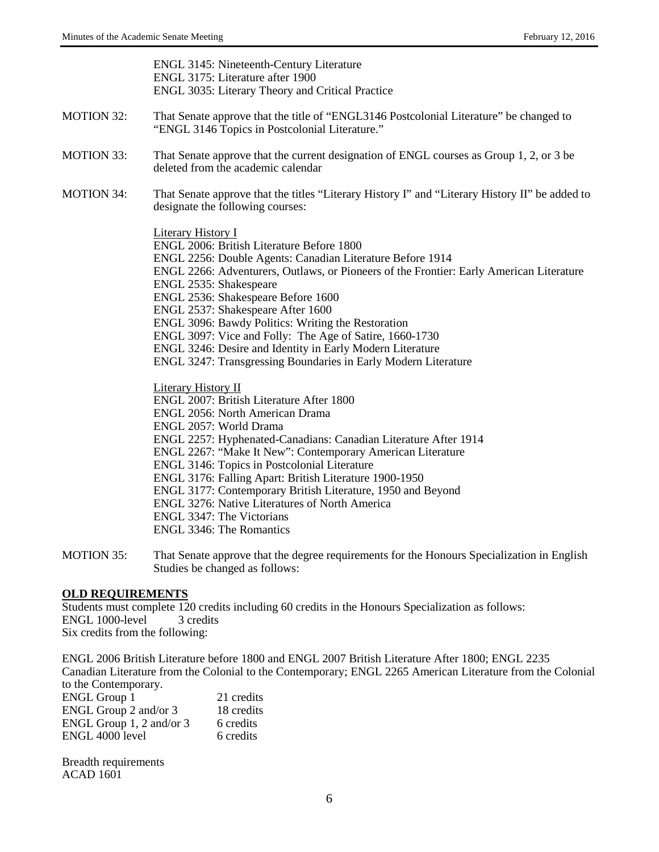ENGL 3145: Nineteenth-Century Literature ENGL 3175: Literature after 1900 ENGL 3035: Literary Theory and Critical Practice

- MOTION 32: That Senate approve that the title of "ENGL3146 Postcolonial Literature" be changed to "ENGL 3146 Topics in Postcolonial Literature."
- MOTION 33:That Senate approve that the current designation of ENGL courses as Group 1, 2, or 3 be deleted from the academic calendar
- MOTION 34: That Senate approve that the titles "Literary History I" and "Literary History II" be added to designate the following courses:

Literary History I

ENGL 2006: British Literature Before 1800

ENGL 2256: Double Agents: Canadian Literature Before 1914

- ENGL 2266: Adventurers, Outlaws, or Pioneers of the Frontier: Early American Literature
- ENGL 2535: Shakespeare

ENGL 2536: Shakespeare Before 1600

ENGL 2537: Shakespeare After 1600

ENGL 3096: Bawdy Politics: Writing the Restoration

ENGL 3097: Vice and Folly: The Age of Satire, 1660-1730

ENGL 3246: Desire and Identity in Early Modern Literature

ENGL 3247: Transgressing Boundaries in Early Modern Literature

Literary History II

ENGL 2007: British Literature After 1800

ENGL 2056: North American Drama

ENGL 2057: World Drama

ENGL 2257: Hyphenated-Canadians: Canadian Literature After 1914

ENGL 2267: "Make It New": Contemporary American Literature

ENGL 3146: Topics in Postcolonial Literature

ENGL 3176: Falling Apart: British Literature 1900-1950

ENGL 3177: Contemporary British Literature, 1950 and Beyond

ENGL 3276: Native Literatures of North America

ENGL 3347: The Victorians

ENGL 3346: The Romantics

MOTION 35:That Senate approve that the degree requirements for the Honours Specialization in English Studies be changed as follows:

## **OLD REQUIREMENTS**

Students must complete 120 credits including 60 credits in the Honours Specialization as follows: ENGL 1000-level 3 credits Six credits from the following:

ENGL 2006 British Literature before 1800 and ENGL 2007 British Literature After 1800; ENGL 2235 Canadian Literature from the Colonial to the Contemporary; ENGL 2265 American Literature from the Colonial to the Contemporary.

| <b>ENGL Group 1</b>          | 21 credits |
|------------------------------|------------|
| ENGL Group 2 and/or $3$      | 18 credits |
| ENGL Group $1, 2$ and/or $3$ | 6 credits  |
| ENGL 4000 level              | 6 credits  |

Breadth requirements ACAD 1601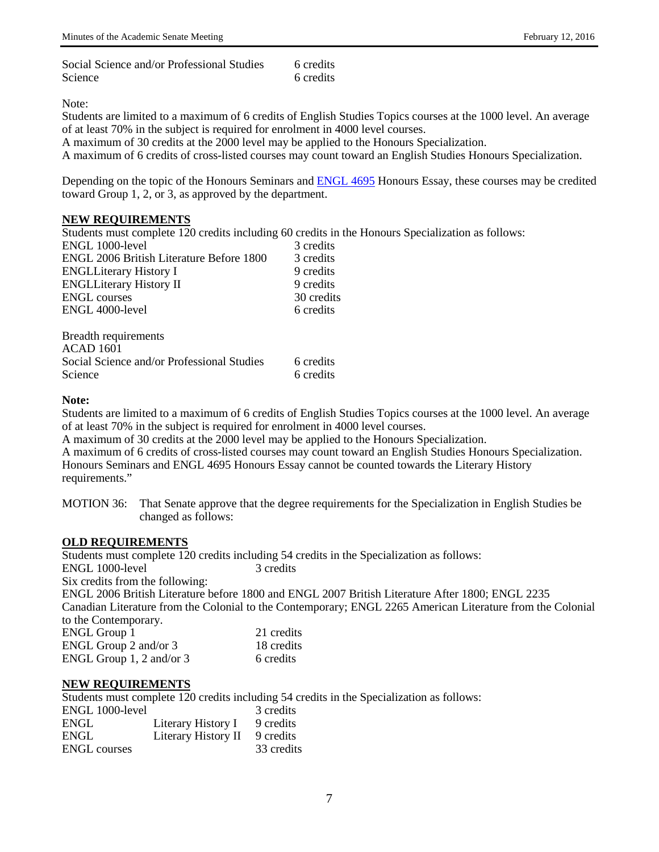Note:

Students are limited to a maximum of 6 credits of English Studies Topics courses at the 1000 level. An average of at least 70% in the subject is required for enrolment in 4000 level courses.

A maximum of 30 credits at the 2000 level may be applied to the Honours Specialization.

A maximum of 6 credits of cross-listed courses may count toward an English Studies Honours Specialization.

Depending on the topic of the Honours Seminars and [ENGL](http://webcal.nipissingu.ca/EntCodeCID_ENGL+4695.html) 4695 Honours Essay, these courses may be credited toward Group 1, 2, or 3, as approved by the department.

### **NEW REQUIREMENTS**

Students must complete 120 credits including 60 credits in the Honours Specialization as follows:

| ENGL 1000-level                                 | 3 credits  |
|-------------------------------------------------|------------|
| <b>ENGL 2006 British Literature Before 1800</b> | 3 credits  |
| <b>ENGLLiterary History I</b>                   | 9 credits  |
| <b>ENGLLiterary History II</b>                  | 9 credits  |
| <b>ENGL</b> courses                             | 30 credits |
| ENGL 4000-level                                 | 6 credits  |
|                                                 |            |
| $D_{\text{mod}}$ dth roquiromante               |            |

| <b>Breadth requirements</b>                |           |
|--------------------------------------------|-----------|
| ACAD 1601                                  |           |
| Social Science and/or Professional Studies | 6 credits |
| Science                                    | 6 credits |

### **Note:**

Students are limited to a maximum of 6 credits of English Studies Topics courses at the 1000 level. An average of at least 70% in the subject is required for enrolment in 4000 level courses.

A maximum of 30 credits at the 2000 level may be applied to the Honours Specialization.

A maximum of 6 credits of cross-listed courses may count toward an English Studies Honours Specialization. Honours Seminars and ENGL 4695 Honours Essay cannot be counted towards the Literary History requirements."

MOTION 36: That Senate approve that the degree requirements for the Specialization in English Studies be changed as follows:

## **OLD REQUIREMENTS**

Students must complete 120 credits including 54 credits in the Specialization as follows: ENGL 1000-level 3 credits Six credits from the following: ENGL 2006 British Literature before 1800 and ENGL 2007 British Literature After 1800; ENGL 2235 Canadian Literature from the Colonial to the Contemporary; ENGL 2265 American Literature from the Colonial to the Contemporary. ENGL Group 1 21 credits<br>ENGL Group 2 and/or 3 18 credits ENGL Group 2 and/or  $3$ ENGL Group 1, 2 and/or 3 6 credits

#### **NEW REQUIREMENTS**

Students must complete 120 credits including 54 credits in the Specialization as follows:

| ENGL 1000-level     |                     | 3 credits  |
|---------------------|---------------------|------------|
| <b>ENGL</b>         | Literary History I  | 9 credits  |
| <b>ENGL</b>         | Literary History II | 9 credits  |
| <b>ENGL</b> courses |                     | 33 credits |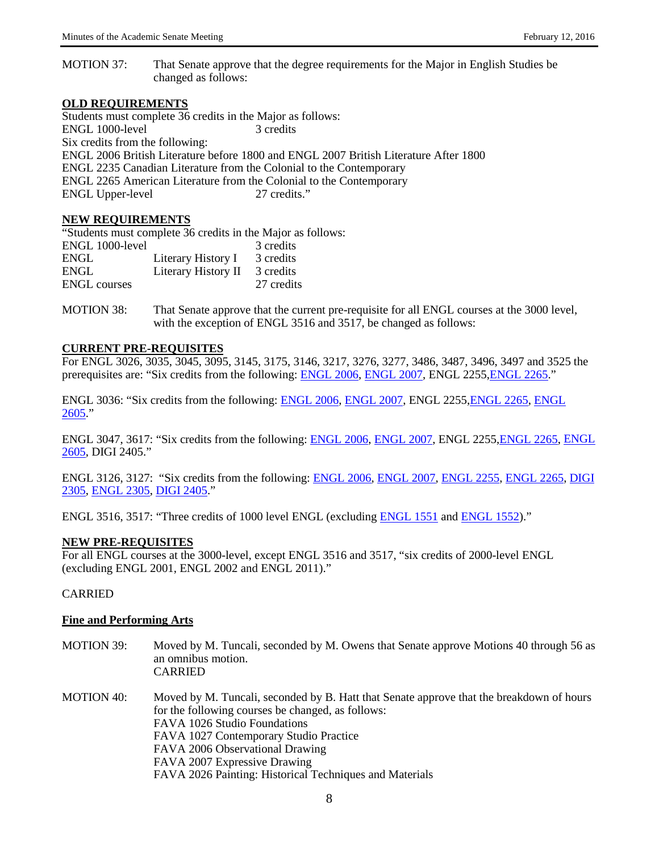MOTION 37: That Senate approve that the degree requirements for the Major in English Studies be changed as follows:

#### **OLD REQUIREMENTS**

Students must complete 36 credits in the Major as follows: ENGL 1000-level 3 credits Six credits from the following: ENGL 2006 British Literature before 1800 and ENGL 2007 British Literature After 1800 ENGL 2235 Canadian Literature from the Colonial to the Contemporary ENGL 2265 American Literature from the Colonial to the Contemporary ENGL Upper-level 27 credits."

#### **NEW REQUIREMENTS**

"Students must complete 36 credits in the Major as follows: ENGL 1000-level 3 credits ENGL Literary History I 3 credits<br>ENGL Literary History II 3 credits ENGL Literary History II ENGL courses 27 credits

MOTION 38: That Senate approve that the current pre-requisite for all ENGL courses at the 3000 level, with the exception of ENGL 3516 and 3517, be changed as follows:

## **CURRENT PRE-REQUISITES**

For ENGL 3026, 3035, 3045, 3095, 3145, 3175, 3146, 3217, 3276, 3277, 3486, 3487, 3496, 3497 and 3525 the prerequisites are: "Six credits from the following: [ENGL 2006,](http://webcal.nipissingu.ca/EntCodeCID_ENGL+2006.html) [ENGL 2007,](http://webcal.nipissingu.ca/EntCodeCID_ENGL+2007.html) ENGL 2255, ENGL 2265."

ENGL 3036: "Six credits from the following: [ENGL 2006,](http://webcal.nipissingu.ca/EntCodeCID_ENGL+2006.html) [ENGL 2007,](http://webcal.nipissingu.ca/EntCodeCID_ENGL+2007.html) ENGL 225[5,ENGL 2265,](http://webcal.nipissingu.ca/EntCodeCID_ENGL+2265.html) [ENGL](http://webcal.nipissingu.ca/EntCodeCID_ENGL+2605.html)  [2605.](http://webcal.nipissingu.ca/EntCodeCID_ENGL+2605.html)"

ENGL 3047, 3617: "Six credits from the following: [ENGL 2006,](http://webcal.nipissingu.ca/EntCodeCID_ENGL+2006.html) [ENGL 2007,](http://webcal.nipissingu.ca/EntCodeCID_ENGL+2007.html) ENGL 2255[,ENGL 2265,](http://webcal.nipissingu.ca/EntCodeCID_ENGL+2265.html) [ENGL](http://webcal.nipissingu.ca/EntCodeCID_ENGL+2605.html)  [2605,](http://webcal.nipissingu.ca/EntCodeCID_ENGL+2605.html) DIGI 2405."

ENGL 3126, 3127: "Six credits from the following: [ENGL 2006,](http://webcal.nipissingu.ca/EntCodeCID_ENGL+2006.html) [ENGL 2007,](http://webcal.nipissingu.ca/EntCodeCID_ENGL+2007.html) [ENGL 2255,](http://webcal.nipissingu.ca/EntCodeCID_ENGL+2255.html) [ENGL 2265,](http://webcal.nipissingu.ca/EntCodeCID_ENGL+2265.html) [DIGI](http://webcal.nipissingu.ca/EntCodeCID_DIGI+2305.html)  [2305,](http://webcal.nipissingu.ca/EntCodeCID_DIGI+2305.html) [ENGL 2305,](http://webcal.nipissingu.ca/EntCodeCID_ENGL+2305.html) [DIGI 2405.](http://webcal.nipissingu.ca/EntCodeCID_DIGI+2405.html)"

ENGL 3516, 3517: "Three credits of 1000 level ENGL (excluding [ENGL 1551](http://webcal.nipissingu.ca/EntCodeCID_ENGL+1551.html) and [ENGL 1552\)](http://webcal.nipissingu.ca/EntCodeCID_ENGL+1552.html)."

#### **NEW PRE-REQUISITES**

For all ENGL courses at the 3000-level, except ENGL 3516 and 3517, "six credits of 2000-level ENGL (excluding ENGL 2001, ENGL 2002 and ENGL 2011)."

## CARRIED

#### **Fine and Performing Arts**

- MOTION 39: Moved by M. Tuncali, seconded by M. Owens that Senate approve Motions 40 through 56 as an omnibus motion. CARRIED
- MOTION 40: Moved by M. Tuncali, seconded by B. Hatt that Senate approve that the breakdown of hours for the following courses be changed, as follows: FAVA 1026 Studio Foundations FAVA 1027 Contemporary Studio Practice FAVA 2006 Observational Drawing FAVA 2007 Expressive Drawing FAVA 2026 Painting: Historical Techniques and Materials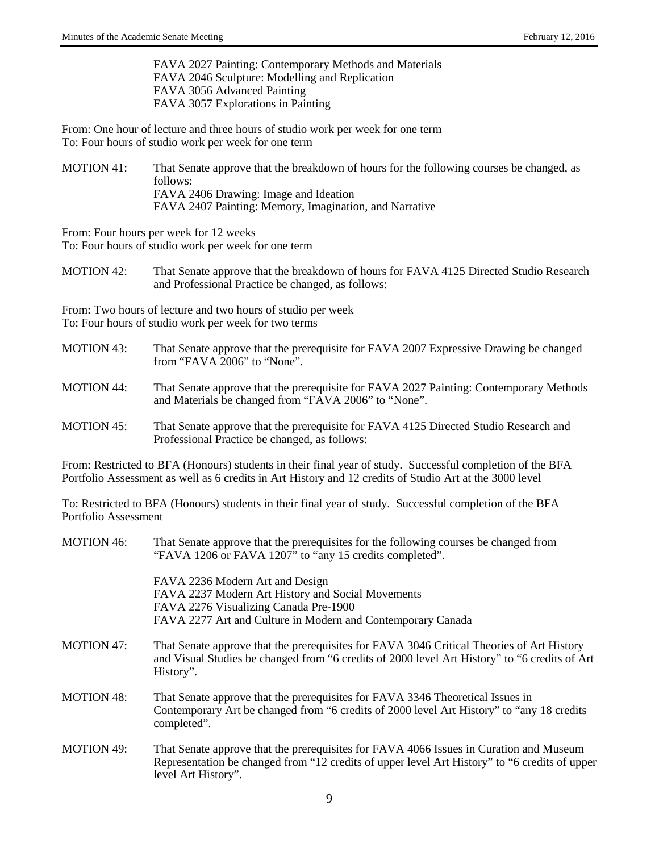FAVA 2027 Painting: Contemporary Methods and Materials FAVA 2046 Sculpture: Modelling and Replication FAVA 3056 Advanced Painting FAVA 3057 Explorations in Painting

From: One hour of lecture and three hours of studio work per week for one term To: Four hours of studio work per week for one term

MOTION 41: That Senate approve that the breakdown of hours for the following courses be changed, as follows: FAVA 2406 Drawing: Image and Ideation FAVA 2407 Painting: Memory, Imagination, and Narrative

From: Four hours per week for 12 weeks To: Four hours of studio work per week for one term

MOTION 42: That Senate approve that the breakdown of hours for FAVA 4125 Directed Studio Research and Professional Practice be changed, as follows:

From: Two hours of lecture and two hours of studio per week To: Four hours of studio work per week for two terms

- MOTION 43: That Senate approve that the prerequisite for FAVA 2007 Expressive Drawing be changed from "FAVA 2006" to "None".
- MOTION 44: That Senate approve that the prerequisite for FAVA 2027 Painting: Contemporary Methods and Materials be changed from "FAVA 2006" to "None".
- MOTION 45: That Senate approve that the prerequisite for FAVA 4125 Directed Studio Research and Professional Practice be changed, as follows:

From: Restricted to BFA (Honours) students in their final year of study. Successful completion of the BFA Portfolio Assessment as well as 6 credits in Art History and 12 credits of Studio Art at the 3000 level

To: Restricted to BFA (Honours) students in their final year of study. Successful completion of the BFA Portfolio Assessment

| <b>MOTION 46:</b> | That Senate approve that the prerequisites for the following courses be changed from<br>"FAVA 1206 or FAVA 1207" to "any 15 credits completed".                                                                |
|-------------------|----------------------------------------------------------------------------------------------------------------------------------------------------------------------------------------------------------------|
|                   | FAVA 2236 Modern Art and Design<br>FAVA 2237 Modern Art History and Social Movements                                                                                                                           |
|                   | FAVA 2276 Visualizing Canada Pre-1900                                                                                                                                                                          |
|                   | FAVA 2277 Art and Culture in Modern and Contemporary Canada                                                                                                                                                    |
| <b>MOTION 47:</b> | That Senate approve that the prerequisites for FAVA 3046 Critical Theories of Art History<br>and Visual Studies be changed from "6 credits of 2000 level Art History" to "6 credits of Art<br>History".        |
| <b>MOTION 48:</b> | That Senate approve that the prerequisites for FAVA 3346 Theoretical Issues in<br>Contemporary Art be changed from "6 credits of 2000 level Art History" to "any 18 credits"<br>completed".                    |
| <b>MOTION 49:</b> | That Senate approve that the prerequisites for FAVA 4066 Issues in Curation and Museum<br>Representation be changed from "12 credits of upper level Art History" to "6 credits of upper<br>level Art History". |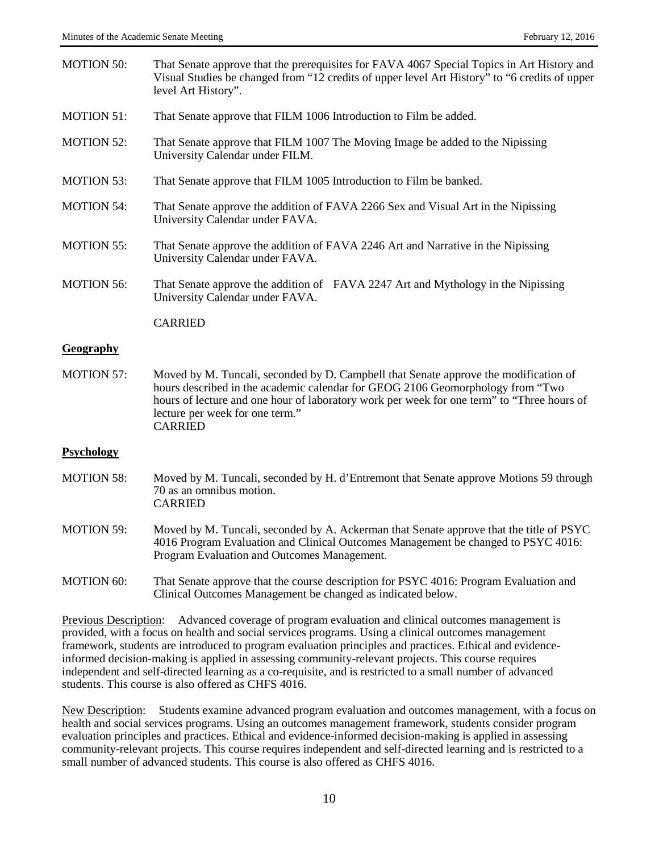| <b>MOTION 50:</b> | That Senate approve that the prerequisites for FAVA 4067 Special Topics in Art History and<br>Visual Studies be changed from "12 credits of upper level Art History" to "6 credits of upper<br>level Art History".                                                                                                        |
|-------------------|---------------------------------------------------------------------------------------------------------------------------------------------------------------------------------------------------------------------------------------------------------------------------------------------------------------------------|
| <b>MOTION 51:</b> | That Senate approve that FILM 1006 Introduction to Film be added.                                                                                                                                                                                                                                                         |
| <b>MOTION 52:</b> | That Senate approve that FILM 1007 The Moving Image be added to the Nipissing<br>University Calendar under FILM.                                                                                                                                                                                                          |
| <b>MOTION 53:</b> | That Senate approve that FILM 1005 Introduction to Film be banked.                                                                                                                                                                                                                                                        |
| <b>MOTION 54:</b> | That Senate approve the addition of FAVA 2266 Sex and Visual Art in the Nipissing<br>University Calendar under FAVA.                                                                                                                                                                                                      |
| <b>MOTION 55:</b> | That Senate approve the addition of FAVA 2246 Art and Narrative in the Nipissing<br>University Calendar under FAVA.                                                                                                                                                                                                       |
| <b>MOTION 56:</b> | That Senate approve the addition of FAVA 2247 Art and Mythology in the Nipissing<br>University Calendar under FAVA.                                                                                                                                                                                                       |
|                   | <b>CARRIED</b>                                                                                                                                                                                                                                                                                                            |
| Geography         |                                                                                                                                                                                                                                                                                                                           |
| <b>MOTION 57:</b> | Moved by M. Tuncali, seconded by D. Campbell that Senate approve the modification of<br>hours described in the academic calendar for GEOG 2106 Geomorphology from "Two<br>hours of lecture and one hour of laboratory work per week for one term" to "Three hours of<br>lecture per week for one term."<br><b>CARRIED</b> |
| <b>Psychology</b> |                                                                                                                                                                                                                                                                                                                           |
| <b>MOTION 58:</b> | Moved by M. Tuncali, seconded by H. d'Entremont that Senate approve Motions 59 through<br>70 as an omnibus motion.<br><b>CARRIED</b>                                                                                                                                                                                      |
| <b>MOTION 59:</b> | Moved by M. Tuncali, seconded by A. Ackerman that Senate approve that the title of PSYC<br>4016 Program Evaluation and Clinical Outcomes Management be changed to PSYC 4016:<br>Program Evaluation and Outcomes Management.                                                                                               |
| <b>MOTION 60:</b> | That Senate approve that the course description for PSYC 4016: Program Evaluation and<br>Clinical Outcomes Management be changed as indicated below.                                                                                                                                                                      |

Previous Description: Advanced coverage of program evaluation and clinical outcomes management is provided, with a focus on health and social services programs. Using a clinical outcomes management framework, students are introduced to program evaluation principles and practices. Ethical and evidenceinformed decision-making is applied in assessing community-relevant projects. This course requires independent and self-directed learning as a co-requisite, and is restricted to a small number of advanced students. This course is also offered as CHFS 4016.

New Description: Students examine advanced program evaluation and outcomes management, with a focus on health and social services programs. Using an outcomes management framework, students consider program evaluation principles and practices. Ethical and evidence-informed decision-making is applied in assessing community-relevant projects. This course requires independent and self-directed learning and is restricted to a small number of advanced students. This course is also offered as CHFS 4016.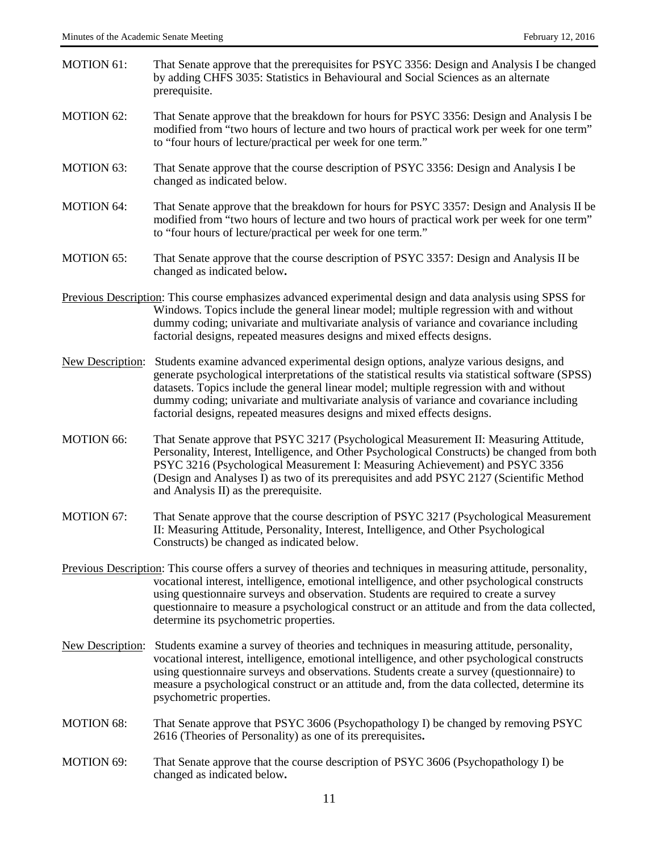- MOTION 61: That Senate approve that the prerequisites for PSYC 3356: Design and Analysis I be changed by adding CHFS 3035: Statistics in Behavioural and Social Sciences as an alternate prerequisite.
- MOTION 62: That Senate approve that the breakdown for hours for PSYC 3356: Design and Analysis I be modified from "two hours of lecture and two hours of practical work per week for one term" to "four hours of lecture/practical per week for one term."
- MOTION 63: That Senate approve that the course description of PSYC 3356: Design and Analysis I be changed as indicated below.
- MOTION 64: That Senate approve that the breakdown for hours for PSYC 3357: Design and Analysis II be modified from "two hours of lecture and two hours of practical work per week for one term" to "four hours of lecture/practical per week for one term."
- MOTION 65: That Senate approve that the course description of PSYC 3357: Design and Analysis II be changed as indicated below**.**
- Previous Description: This course emphasizes advanced experimental design and data analysis using SPSS for Windows. Topics include the general linear model; multiple regression with and without dummy coding; univariate and multivariate analysis of variance and covariance including factorial designs, repeated measures designs and mixed effects designs.
- New Description: Students examine advanced experimental design options, analyze various designs, and generate psychological interpretations of the statistical results via statistical software (SPSS) datasets. Topics include the general linear model; multiple regression with and without dummy coding; univariate and multivariate analysis of variance and covariance including factorial designs, repeated measures designs and mixed effects designs.
- MOTION 66: That Senate approve that PSYC 3217 (Psychological Measurement II: Measuring Attitude, Personality, Interest, Intelligence, and Other Psychological Constructs) be changed from both PSYC 3216 (Psychological Measurement I: Measuring Achievement) and PSYC 3356 (Design and Analyses I) as two of its prerequisites and add PSYC 2127 (Scientific Method and Analysis II) as the prerequisite.
- MOTION 67: That Senate approve that the course description of PSYC 3217 (Psychological Measurement II: Measuring Attitude, Personality, Interest, Intelligence, and Other Psychological Constructs) be changed as indicated below.
- Previous Description: This course offers a survey of theories and techniques in measuring attitude, personality, vocational interest, intelligence, emotional intelligence, and other psychological constructs using questionnaire surveys and observation. Students are required to create a survey questionnaire to measure a psychological construct or an attitude and from the data collected, determine its psychometric properties.
- New Description: Students examine a survey of theories and techniques in measuring attitude, personality, vocational interest, intelligence, emotional intelligence, and other psychological constructs using questionnaire surveys and observations. Students create a survey (questionnaire) to measure a psychological construct or an attitude and, from the data collected, determine its psychometric properties.
- MOTION 68: That Senate approve that PSYC 3606 (Psychopathology I) be changed by removing PSYC 2616 (Theories of Personality) as one of its prerequisites**.**
- MOTION 69: That Senate approve that the course description of PSYC 3606 (Psychopathology I) be changed as indicated below**.**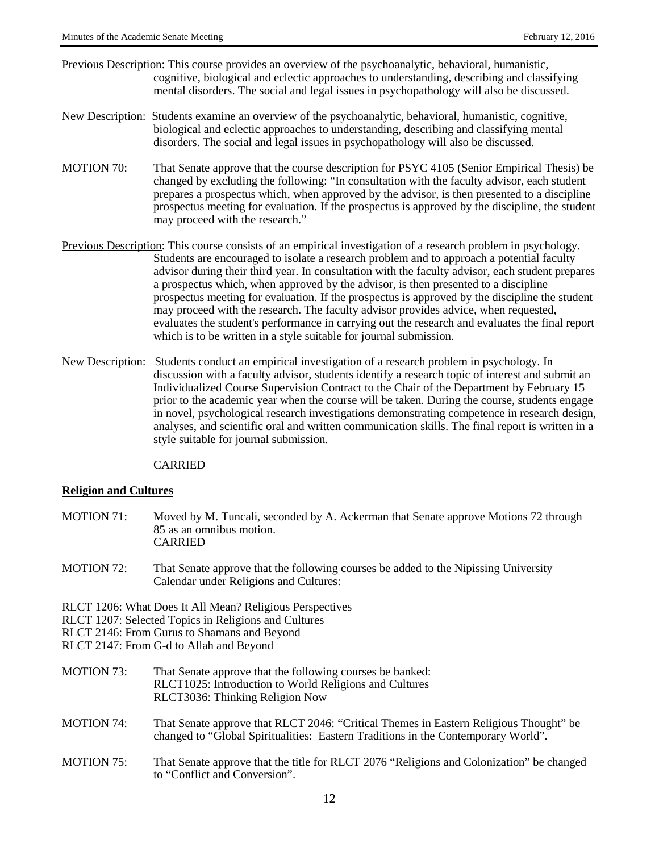- Previous Description: This course provides an overview of the psychoanalytic, behavioral, humanistic, cognitive, biological and eclectic approaches to understanding, describing and classifying mental disorders. The social and legal issues in psychopathology will also be discussed.
- New Description: Students examine an overview of the psychoanalytic, behavioral, humanistic, cognitive, biological and eclectic approaches to understanding, describing and classifying mental disorders. The social and legal issues in psychopathology will also be discussed.
- MOTION 70: That Senate approve that the course description for PSYC 4105 (Senior Empirical Thesis) be changed by excluding the following: "In consultation with the faculty advisor, each student prepares a prospectus which, when approved by the advisor, is then presented to a discipline prospectus meeting for evaluation. If the prospectus is approved by the discipline, the student may proceed with the research."
- Previous Description: This course consists of an empirical investigation of a research problem in psychology. Students are encouraged to isolate a research problem and to approach a potential faculty advisor during their third year. In consultation with the faculty advisor, each student prepares a prospectus which, when approved by the advisor, is then presented to a discipline prospectus meeting for evaluation. If the prospectus is approved by the discipline the student may proceed with the research. The faculty advisor provides advice, when requested, evaluates the student's performance in carrying out the research and evaluates the final report which is to be written in a style suitable for journal submission.
- New Description: Students conduct an empirical investigation of a research problem in psychology. In discussion with a faculty advisor, students identify a research topic of interest and submit an Individualized Course Supervision Contract to the Chair of the Department by February 15 prior to the academic year when the course will be taken. During the course, students engage in novel, psychological research investigations demonstrating competence in research design, analyses, and scientific oral and written communication skills. The final report is written in a style suitable for journal submission.

CARRIED

#### **Religion and Cultures**

- MOTION 71: Moved by M. Tuncali, seconded by A. Ackerman that Senate approve Motions 72 through 85 as an omnibus motion. CARRIED
- MOTION 72: That Senate approve that the following courses be added to the Nipissing University Calendar under Religions and Cultures:

RLCT 1206: What Does It All Mean? Religious Perspectives

RLCT 1207: Selected Topics in Religions and Cultures

RLCT 2146: From Gurus to Shamans and Beyond

RLCT 2147: From G-d to Allah and Beyond

- MOTION 73: That Senate approve that the following courses be banked: RLCT1025: Introduction to World Religions and Cultures RLCT3036: Thinking Religion Now
- MOTION 74: That Senate approve that RLCT 2046: "Critical Themes in Eastern Religious Thought" be changed to "Global Spiritualities: Eastern Traditions in the Contemporary World".
- MOTION 75: That Senate approve that the title for RLCT 2076 "Religions and Colonization" be changed to "Conflict and Conversion".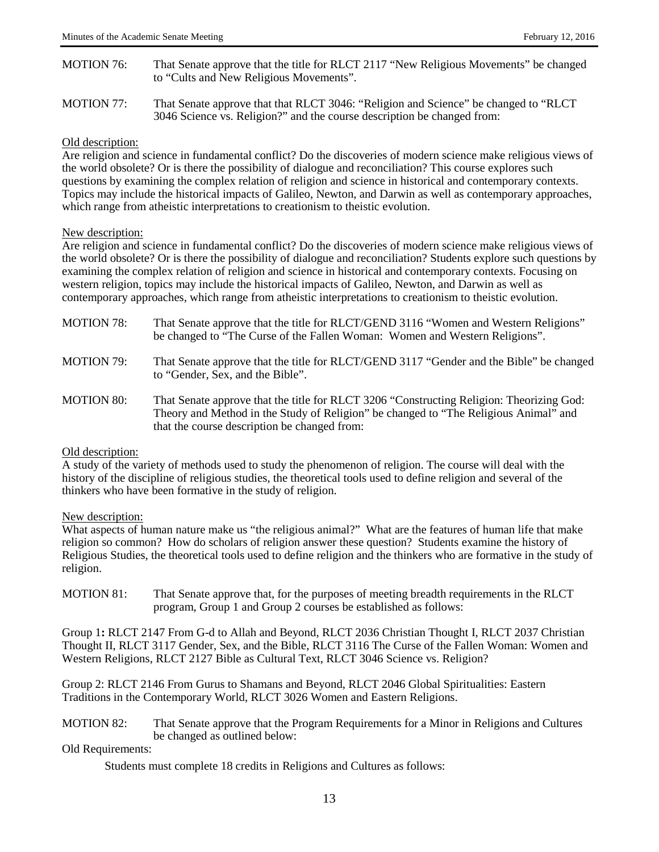- MOTION 76: That Senate approve that the title for RLCT 2117 "New Religious Movements" be changed to "Cults and New Religious Movements".
- MOTION 77: That Senate approve that that RLCT 3046: "Religion and Science" be changed to "RLCT 3046 Science vs. Religion?" and the course description be changed from:

#### Old description:

Are religion and science in fundamental conflict? Do the discoveries of modern science make religious views of the world obsolete? Or is there the possibility of dialogue and reconciliation? This course explores such questions by examining the complex relation of religion and science in historical and contemporary contexts. Topics may include the historical impacts of Galileo, Newton, and Darwin as well as contemporary approaches, which range from atheistic interpretations to creationism to theistic evolution.

#### New description:

Are religion and science in fundamental conflict? Do the discoveries of modern science make religious views of the world obsolete? Or is there the possibility of dialogue and reconciliation? Students explore such questions by examining the complex relation of religion and science in historical and contemporary contexts. Focusing on western religion, topics may include the historical impacts of Galileo, Newton, and Darwin as well as contemporary approaches, which range from atheistic interpretations to creationism to theistic evolution.

| <b>MOTION 78:</b> | That Senate approve that the title for RLCT/GEND 3116 "Women and Western Religions"<br>be changed to "The Curse of the Fallen Woman: Women and Western Religions".                                                               |
|-------------------|----------------------------------------------------------------------------------------------------------------------------------------------------------------------------------------------------------------------------------|
| <b>MOTION 79:</b> | That Senate approve that the title for RLCT/GEND 3117 "Gender and the Bible" be changed<br>to "Gender, Sex, and the Bible".                                                                                                      |
| <b>MOTION 80:</b> | That Senate approve that the title for RLCT 3206 "Constructing Religion: Theorizing God:<br>Theory and Method in the Study of Religion" be changed to "The Religious Animal" and<br>that the course description be changed from: |

#### Old description:

A study of the variety of methods used to study the phenomenon of religion. The course will deal with the history of the discipline of religious studies, the theoretical tools used to define religion and several of the thinkers who have been formative in the study of religion.

#### New description:

What aspects of human nature make us "the religious animal?" What are the features of human life that make religion so common? How do scholars of religion answer these question? Students examine the history of Religious Studies, the theoretical tools used to define religion and the thinkers who are formative in the study of religion.

MOTION 81: That Senate approve that, for the purposes of meeting breadth requirements in the RLCT program, Group 1 and Group 2 courses be established as follows:

Group 1**:** RLCT 2147 From G-d to Allah and Beyond, RLCT 2036 Christian Thought I, RLCT 2037 Christian Thought II, RLCT 3117 Gender, Sex, and the Bible, RLCT 3116 The Curse of the Fallen Woman: Women and Western Religions, RLCT 2127 Bible as Cultural Text, RLCT 3046 Science vs. Religion?

Group 2: RLCT 2146 From Gurus to Shamans and Beyond, RLCT 2046 Global Spiritualities: Eastern Traditions in the Contemporary World, RLCT 3026 Women and Eastern Religions.

MOTION 82: That Senate approve that the Program Requirements for a Minor in Religions and Cultures be changed as outlined below:

#### Old Requirements:

Students must complete 18 credits in Religions and Cultures as follows: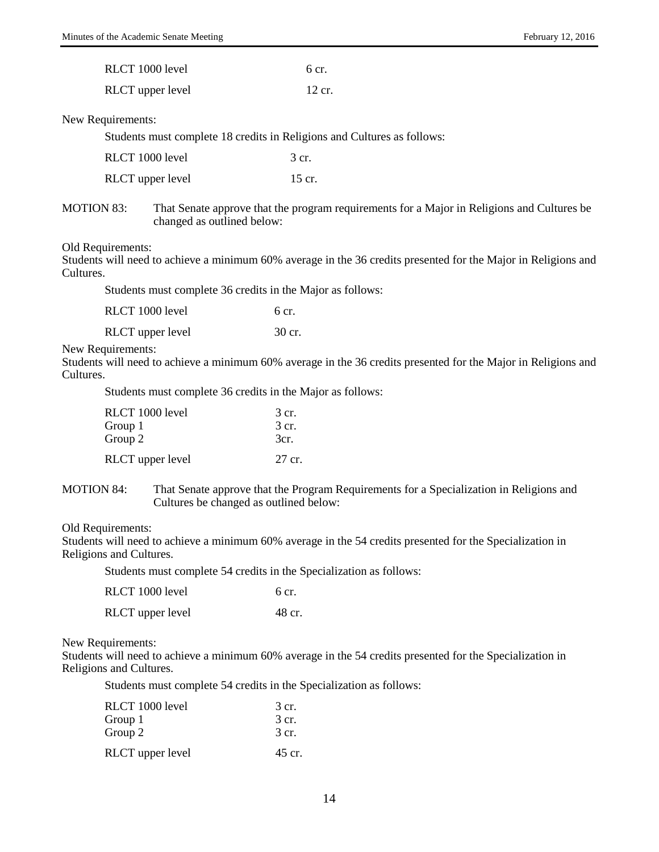| RLCT 1000 level  | 6 cr.  |
|------------------|--------|
| RLCT upper level | 12 cr. |

#### New Requirements:

Students must complete 18 credits in Religions and Cultures as follows:

| RLCT 1000 level  | 3 cr.  |
|------------------|--------|
| RLCT upper level | 15 cr. |

MOTION 83: That Senate approve that the program requirements for a Major in Religions and Cultures be changed as outlined below:

#### Old Requirements:

Students will need to achieve a minimum 60% average in the 36 credits presented for the Major in Religions and Cultures.

Students must complete 36 credits in the Major as follows:

| RLCT 1000 level | 6 cr. |
|-----------------|-------|
|                 |       |

| <b>RLCT</b> upper level | 30 cr. |
|-------------------------|--------|
|                         |        |

New Requirements:

Students will need to achieve a minimum 60% average in the 36 credits presented for the Major in Religions and Cultures.

Students must complete 36 credits in the Major as follows:

| RLCT 1000 level  | 3 cr.  |
|------------------|--------|
| Group 1          | 3 cr.  |
| Group 2          | 3cr.   |
| RLCT upper level | 27 cr. |

MOTION 84: That Senate approve that the Program Requirements for a Specialization in Religions and Cultures be changed as outlined below:

#### Old Requirements:

Students will need to achieve a minimum 60% average in the 54 credits presented for the Specialization in Religions and Cultures.

Students must complete 54 credits in the Specialization as follows:

| RLCT 1000 level         | $6 \text{ cr}$ . |
|-------------------------|------------------|
| <b>RLCT</b> upper level | 48 cr.           |

New Requirements:

Students will need to achieve a minimum 60% average in the 54 credits presented for the Specialization in Religions and Cultures.

Students must complete 54 credits in the Specialization as follows:

| RLCT 1000 level<br>Group 1 | 3 cr.<br>3 cr. |
|----------------------------|----------------|
| Group 2                    | 3 cr.          |
| RLCT upper level           | 45 cr.         |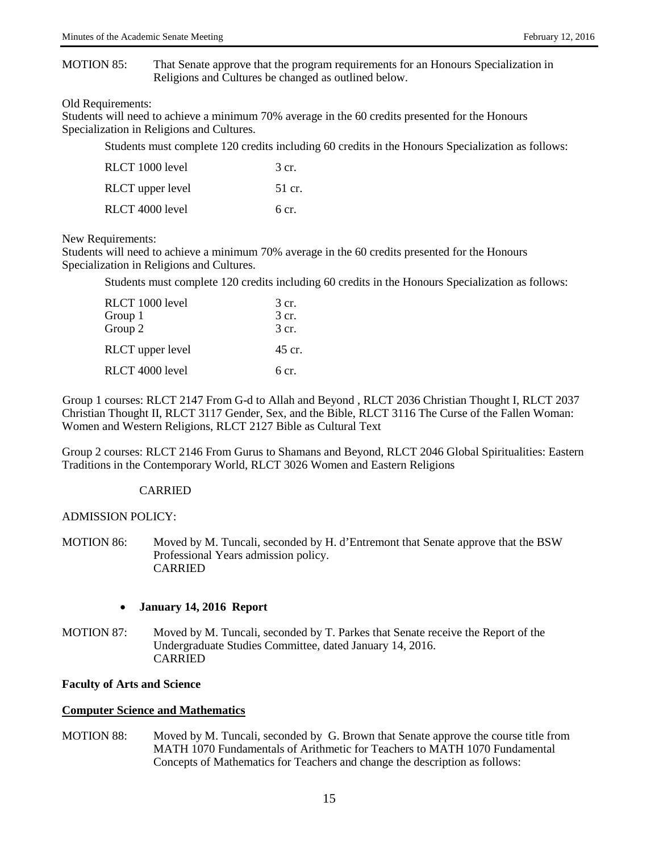#### MOTION 85: That Senate approve that the program requirements for an Honours Specialization in Religions and Cultures be changed as outlined below.

#### Old Requirements:

Students will need to achieve a minimum 70% average in the 60 credits presented for the Honours Specialization in Religions and Cultures.

Students must complete 120 credits including 60 credits in the Honours Specialization as follows:

| RLCT 1000 level  | 3 cr.  |
|------------------|--------|
| RLCT upper level | 51 cr. |
| RLCT 4000 level  | 6 cr.  |

### New Requirements:

Students will need to achieve a minimum 70% average in the 60 credits presented for the Honours Specialization in Religions and Cultures.

Students must complete 120 credits including 60 credits in the Honours Specialization as follows:

| RLCT 1000 level  | 3 cr.  |
|------------------|--------|
| Group 1          | 3 cr.  |
| Group 2          | 3 cr.  |
| RLCT upper level | 45 cr. |
| RLCT 4000 level  | 6 cr.  |

Group 1 courses: RLCT 2147 From G-d to Allah and Beyond , RLCT 2036 Christian Thought I, RLCT 2037 Christian Thought II, RLCT 3117 Gender, Sex, and the Bible, RLCT 3116 The Curse of the Fallen Woman: Women and Western Religions, RLCT 2127 Bible as Cultural Text

Group 2 courses: RLCT 2146 From Gurus to Shamans and Beyond, RLCT 2046 Global Spiritualities: Eastern Traditions in the Contemporary World, RLCT 3026 Women and Eastern Religions

## CARRIED

## ADMISSION POLICY:

MOTION 86: Moved by M. Tuncali, seconded by H. d'Entremont that Senate approve that the BSW Professional Years admission policy. CARRIED

## • **January 14, 2016 Report**

MOTION 87: Moved by M. Tuncali, seconded by T. Parkes that Senate receive the Report of the Undergraduate Studies Committee, dated January 14, 2016. CARRIED

## **Faculty of Arts and Science**

## **Computer Science and Mathematics**

MOTION 88: Moved by M. Tuncali, seconded by G. Brown that Senate approve the course title from MATH 1070 Fundamentals of Arithmetic for Teachers to MATH 1070 Fundamental Concepts of Mathematics for Teachers and change the description as follows: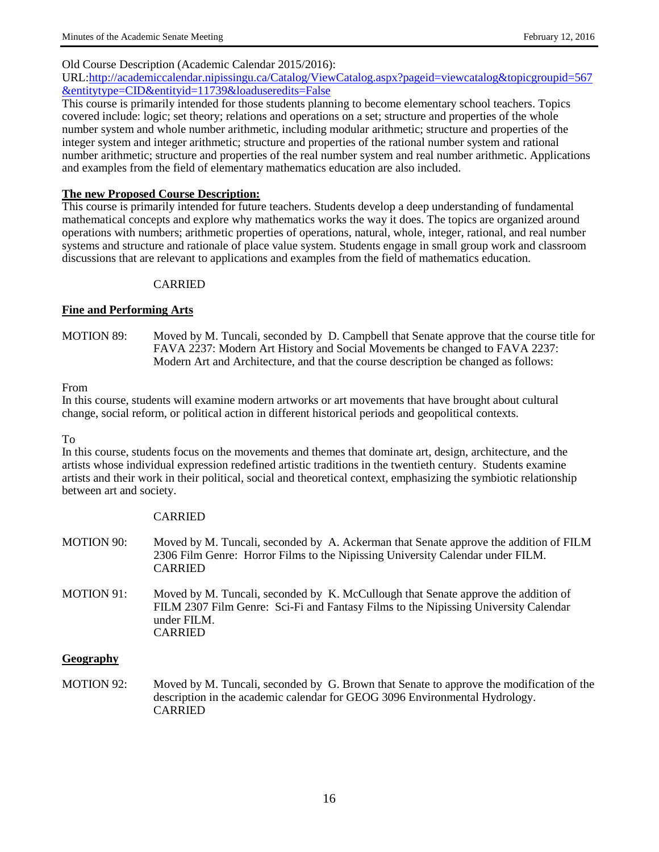### Old Course Description (Academic Calendar 2015/2016):

URL[:http://academiccalendar.nipissingu.ca/Catalog/ViewCatalog.aspx?pageid=viewcatalog&topicgroupid=567](http://academiccalendar.nipissingu.ca/catalog/viewcatalog.aspx?pageid=viewcatalog&topicgroupid=567&entitytype=cid&entityid=11739&loaduseredits=false) [&entitytype=CID&entityid=11739&loaduseredits=False](http://academiccalendar.nipissingu.ca/catalog/viewcatalog.aspx?pageid=viewcatalog&topicgroupid=567&entitytype=cid&entityid=11739&loaduseredits=false)

This course is primarily intended for those students planning to become elementary school teachers. Topics covered include: logic; set theory; relations and operations on a set; structure and properties of the whole number system and whole number arithmetic, including modular arithmetic; structure and properties of the integer system and integer arithmetic; structure and properties of the rational number system and rational number arithmetic; structure and properties of the real number system and real number arithmetic. Applications and examples from the field of elementary mathematics education are also included.

### **The new Proposed Course Description:**

This course is primarily intended for future teachers. Students develop a deep understanding of fundamental mathematical concepts and explore why mathematics works the way it does. The topics are organized around operations with numbers; arithmetic properties of operations, natural, whole, integer, rational, and real number systems and structure and rationale of place value system. Students engage in small group work and classroom discussions that are relevant to applications and examples from the field of mathematics education.

### CARRIED

### **Fine and Performing Arts**

MOTION 89:Moved by M. Tuncali, seconded by D. Campbell that Senate approve that the course title for FAVA 2237: Modern Art History and Social Movements be changed to FAVA 2237: Modern Art and Architecture, and that the course description be changed as follows:

#### From

In this course, students will examine modern artworks or art movements that have brought about cultural change, social reform, or political action in different historical periods and geopolitical contexts.

#### To

In this course, students focus on the movements and themes that dominate art, design, architecture, and the artists whose individual expression redefined artistic traditions in the twentieth century. Students examine artists and their work in their political, social and theoretical context, emphasizing the symbiotic relationship between art and society.

#### CARRIED

- MOTION 90: Moved by M. Tuncali, seconded by A. Ackerman that Senate approve the addition of FILM 2306 Film Genre: Horror Films to the Nipissing University Calendar under FILM. CARRIED
- MOTION 91: Moved by M. Tuncali, seconded by K. McCullough that Senate approve the addition of FILM 2307 Film Genre: Sci-Fi and Fantasy Films to the Nipissing University Calendar under FILM. CARRIED

#### **Geography**

MOTION 92:Moved by M. Tuncali, seconded by G. Brown that Senate to approve the modification of the description in the academic calendar for GEOG 3096 Environmental Hydrology. CARRIED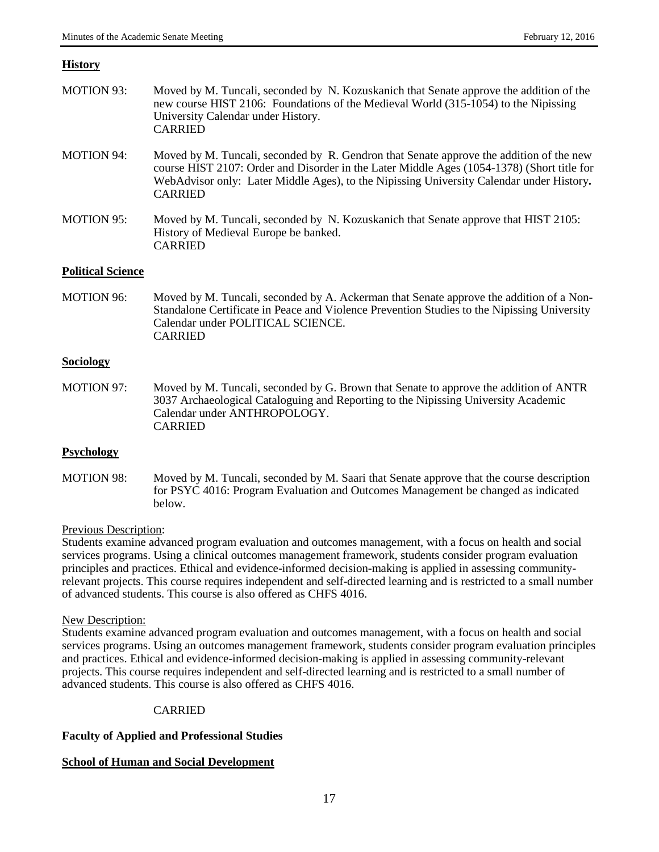## **History**

| <b>MOTION 93:</b>        | Moved by M. Tuncali, seconded by N. Kozuskanich that Senate approve the addition of the<br>new course HIST 2106: Foundations of the Medieval World (315-1054) to the Nipissing<br>University Calendar under History.<br><b>CARRIED</b>                                                              |
|--------------------------|-----------------------------------------------------------------------------------------------------------------------------------------------------------------------------------------------------------------------------------------------------------------------------------------------------|
| <b>MOTION 94:</b>        | Moved by M. Tuncali, seconded by R. Gendron that Senate approve the addition of the new<br>course HIST 2107: Order and Disorder in the Later Middle Ages (1054-1378) (Short title for<br>WebAdvisor only: Later Middle Ages), to the Nipissing University Calendar under History.<br><b>CARRIED</b> |
| <b>MOTION 95:</b>        | Moved by M. Tuncali, seconded by N. Kozuskanich that Senate approve that HIST 2105:<br>History of Medieval Europe be banked.<br><b>CARRIED</b>                                                                                                                                                      |
| <b>Political Science</b> |                                                                                                                                                                                                                                                                                                     |
| <b>MOTION 96:</b>        | Moved by M. Tuncali, seconded by A. Ackerman that Senate approve the addition of a Non-<br>Standalone Certificate in Peace and Violence Prevention Studies to the Nipissing University<br>Calendar under POLITICAL SCIENCE.<br><b>CARRIED</b>                                                       |
| <b>Sociology</b>         |                                                                                                                                                                                                                                                                                                     |
| <b>MOTION 97:</b>        | Moved by M. Tuncali, seconded by G. Brown that Senate to approve the addition of ANTR<br>3037 Archaeological Cataloguing and Reporting to the Nipissing University Academic<br>Calendar under ANTHROPOLOGY.<br><b>CARRIED</b>                                                                       |
| <b>Psychology</b>        |                                                                                                                                                                                                                                                                                                     |
| <b>MOTION 98:</b>        | Moved by M. Tuncali, seconded by M. Saari that Senate approve that the course description                                                                                                                                                                                                           |

## Previous Description:

Students examine advanced program evaluation and outcomes management, with a focus on health and social services programs. Using a clinical outcomes management framework, students consider program evaluation principles and practices. Ethical and evidence-informed decision-making is applied in assessing communityrelevant projects. This course requires independent and self-directed learning and is restricted to a small number of advanced students. This course is also offered as CHFS 4016.

for PSYC 4016: Program Evaluation and Outcomes Management be changed as indicated

## New Description:

Students examine advanced program evaluation and outcomes management, with a focus on health and social services programs. Using an outcomes management framework, students consider program evaluation principles and practices. Ethical and evidence-informed decision-making is applied in assessing community-relevant projects. This course requires independent and self-directed learning and is restricted to a small number of advanced students. This course is also offered as CHFS 4016.

## CARRIED

## **Faculty of Applied and Professional Studies**

below.

## **School of Human and Social Development**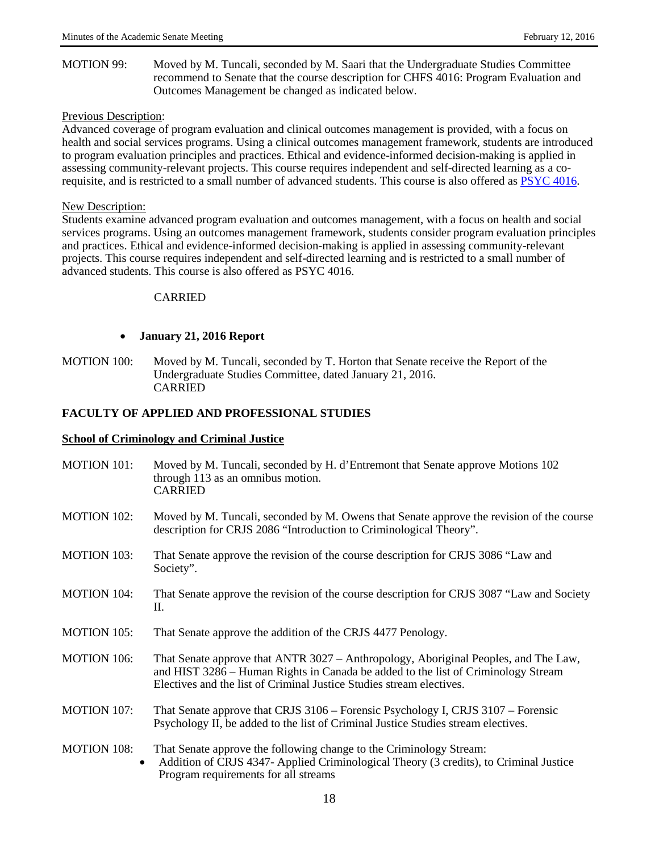MOTION 99: Moved by M. Tuncali, seconded by M. Saari that the Undergraduate Studies Committee recommend to Senate that the course description for CHFS 4016: Program Evaluation and Outcomes Management be changed as indicated below.

### Previous Description:

Advanced coverage of program evaluation and clinical outcomes management is provided, with a focus on health and social services programs. Using a clinical outcomes management framework, students are introduced to program evaluation principles and practices. Ethical and evidence-informed decision-making is applied in assessing community-relevant projects. This course requires independent and self-directed learning as a corequisite, and is restricted to a small number of advanced students. This course is also offered as [PSYC 4016.](http://academiccalendar.nipissingu.ca/Catalog/ViewCatalog.aspx?pageid=viewcatalog&topicgroupid=1046&entitytype=CID&entitycode=PSYC+4016)

### New Description:

Students examine advanced program evaluation and outcomes management, with a focus on health and social services programs. Using an outcomes management framework, students consider program evaluation principles and practices. Ethical and evidence-informed decision-making is applied in assessing community-relevant projects. This course requires independent and self-directed learning and is restricted to a small number of advanced students. This course is also offered as PSYC 4016.

### CARRIED

## • **January 21, 2016 Report**

MOTION 100: Moved by M. Tuncali, seconded by T. Horton that Senate receive the Report of the Undergraduate Studies Committee, dated January 21, 2016. CARRIED

### **FACULTY OF APPLIED AND PROFESSIONAL STUDIES**

#### **School of Criminology and Criminal Justice**

MOTION 101: Moved by M. Tuncali, seconded by H. d'Entremont that Senate approve Motions 102 through 113 as an omnibus motion. CARRIED MOTION 102: Moved by M. Tuncali, seconded by M. Owens that Senate approve the revision of the course description for CRJS 2086 "Introduction to Criminological Theory". MOTION 103: That Senate approve the revision of the course description for CRJS 3086 "Law and Society". MOTION 104: That Senate approve the revision of the course description for CRJS 3087 "Law and Society II. MOTION 105: That Senate approve the addition of the CRJS 4477 Penology. MOTION 106: That Senate approve that ANTR 3027 – Anthropology, Aboriginal Peoples, and The Law, and HIST 3286 – Human Rights in Canada be added to the list of Criminology Stream Electives and the list of Criminal Justice Studies stream electives. MOTION 107: That Senate approve that CRJS 3106 – Forensic Psychology I, CRJS 3107 – Forensic Psychology II, be added to the list of Criminal Justice Studies stream electives. MOTION 108: That Senate approve the following change to the Criminology Stream: • Addition of CRJS 4347- Applied Criminological Theory (3 credits), to Criminal Justice Program requirements for all streams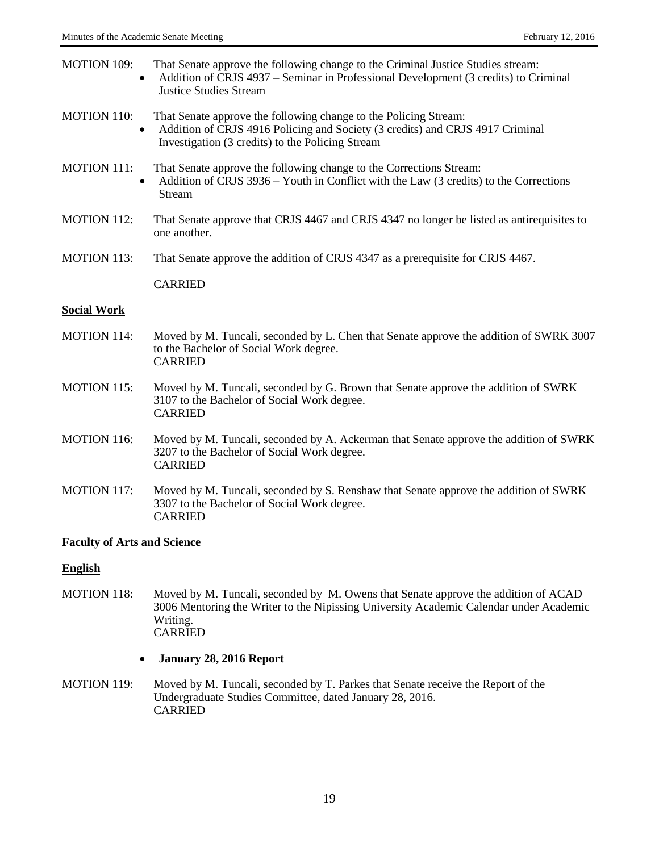| <b>MOTION 109:</b> | That Senate approve the following change to the Criminal Justice Studies stream:<br>Addition of CRJS 4937 – Seminar in Professional Development (3 credits) to Criminal<br><b>Justice Studies Stream</b>           |
|--------------------|--------------------------------------------------------------------------------------------------------------------------------------------------------------------------------------------------------------------|
| <b>MOTION 110:</b> | That Senate approve the following change to the Policing Stream:<br>Addition of CRJS 4916 Policing and Society (3 credits) and CRJS 4917 Criminal<br>$\bullet$<br>Investigation (3 credits) to the Policing Stream |
| <b>MOTION 111:</b> | That Senate approve the following change to the Corrections Stream:<br>Addition of CRJS 3936 – Youth in Conflict with the Law (3 credits) to the Corrections<br>$\bullet$<br>Stream                                |
| <b>MOTION 112:</b> | That Senate approve that CRJS 4467 and CRJS 4347 no longer be listed as antirequisites to<br>one another.                                                                                                          |
| <b>MOTION 113:</b> | That Senate approve the addition of CRJS 4347 as a prerequisite for CRJS 4467.                                                                                                                                     |
|                    | <b>CARRIED</b>                                                                                                                                                                                                     |
| <b>Social Work</b> |                                                                                                                                                                                                                    |
| <b>MOTION 114:</b> | Moved by M. Tuncali, seconded by L. Chen that Senate approve the addition of SWRK 3007<br>to the Bachelor of Social Work degree.<br><b>CARRIED</b>                                                                 |
| <b>MOTION 115:</b> | Moved by M. Tuncali, seconded by G. Brown that Senate approve the addition of SWRK                                                                                                                                 |

- 3107 to the Bachelor of Social Work degree. CARRIED
- MOTION 116: Moved by M. Tuncali, seconded by A. Ackerman that Senate approve the addition of SWRK 3207 to the Bachelor of Social Work degree. CARRIED
- MOTION 117: Moved by M. Tuncali, seconded by S. Renshaw that Senate approve the addition of SWRK 3307 to the Bachelor of Social Work degree. CARRIED

## **Faculty of Arts and Science**

## **English**

- MOTION 118: Moved by M. Tuncali, seconded by M. Owens that Senate approve the addition of ACAD 3006 Mentoring the Writer to the Nipissing University Academic Calendar under Academic Writing. CARRIED
	- **January 28, 2016 Report**
- MOTION 119: Moved by M. Tuncali, seconded by T. Parkes that Senate receive the Report of the Undergraduate Studies Committee, dated January 28, 2016. CARRIED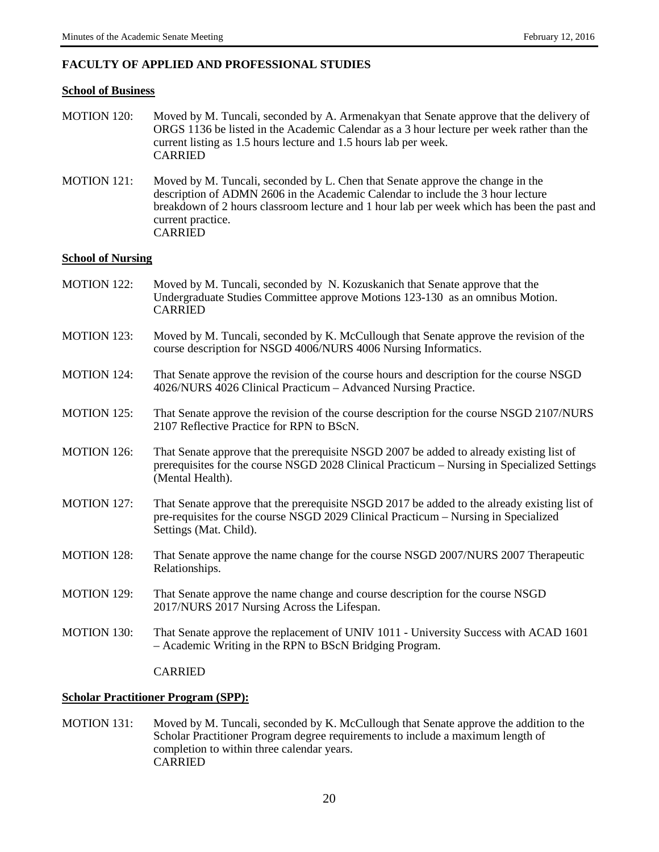## **FACULTY OF APPLIED AND PROFESSIONAL STUDIES**

#### **School of Business**

- MOTION 120: Moved by M. Tuncali, seconded by A. Armenakyan that Senate approve that the delivery of ORGS 1136 be listed in the Academic Calendar as a 3 hour lecture per week rather than the current listing as 1.5 hours lecture and 1.5 hours lab per week. CARRIED
- MOTION 121: Moved by M. Tuncali, seconded by L. Chen that Senate approve the change in the description of ADMN 2606 in the Academic Calendar to include the 3 hour lecture breakdown of 2 hours classroom lecture and 1 hour lab per week which has been the past and current practice. CARRIED

### **School of Nursing**

- MOTION 122: Moved by M. Tuncali, seconded by N. Kozuskanich that Senate approve that the Undergraduate Studies Committee approve Motions 123-130 as an omnibus Motion. CARRIED
- MOTION 123: Moved by M. Tuncali, seconded by K. McCullough that Senate approve the revision of the course description for NSGD 4006/NURS 4006 Nursing Informatics.
- MOTION 124: That Senate approve the revision of the course hours and description for the course NSGD 4026/NURS 4026 Clinical Practicum – Advanced Nursing Practice.
- MOTION 125: That Senate approve the revision of the course description for the course NSGD 2107/NURS 2107 Reflective Practice for RPN to BScN.
- MOTION 126: That Senate approve that the prerequisite NSGD 2007 be added to already existing list of prerequisites for the course NSGD 2028 Clinical Practicum – Nursing in Specialized Settings (Mental Health).
- MOTION 127: That Senate approve that the prerequisite NSGD 2017 be added to the already existing list of pre-requisites for the course NSGD 2029 Clinical Practicum – Nursing in Specialized Settings (Mat. Child).
- MOTION 128: That Senate approve the name change for the course NSGD 2007/NURS 2007 Therapeutic Relationships.
- MOTION 129: That Senate approve the name change and course description for the course NSGD 2017/NURS 2017 Nursing Across the Lifespan.
- MOTION 130: That Senate approve the replacement of UNIV 1011 University Success with ACAD 1601 – Academic Writing in the RPN to BScN Bridging Program.

CARRIED

#### **Scholar Practitioner Program (SPP):**

MOTION 131: Moved by M. Tuncali, seconded by K. McCullough that Senate approve the addition to the Scholar Practitioner Program degree requirements to include a maximum length of completion to within three calendar years. CARRIED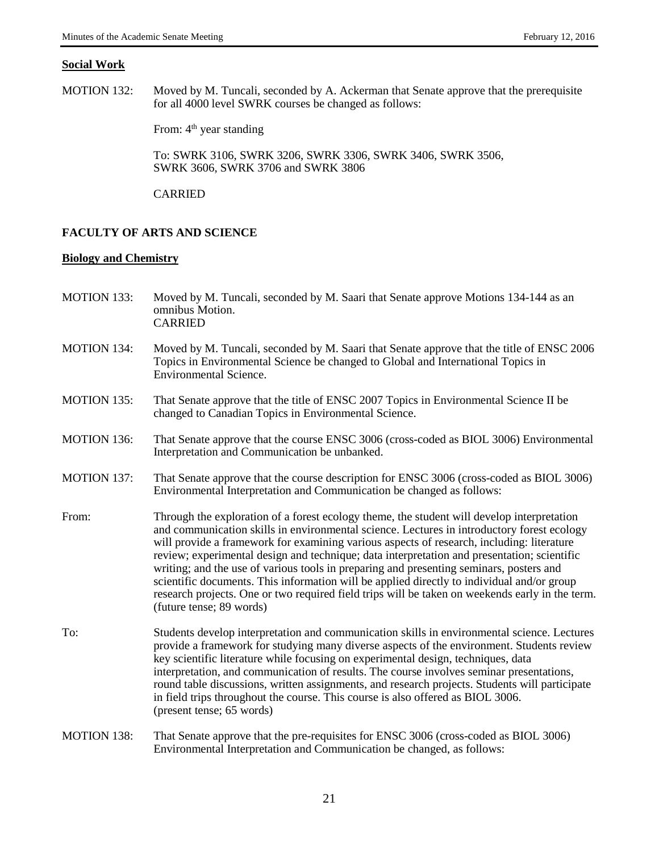#### **Social Work**

MOTION 132: Moved by M. Tuncali, seconded by A. Ackerman that Senate approve that the prerequisite for all 4000 level SWRK courses be changed as follows:

From: 4<sup>th</sup> year standing

To: SWRK 3106, SWRK 3206, SWRK 3306, SWRK 3406, SWRK 3506, SWRK 3606, SWRK 3706 and SWRK 3806

CARRIED

#### **FACULTY OF ARTS AND SCIENCE**

#### **Biology and Chemistry**

- MOTION 133: Moved by M. Tuncali, seconded by M. Saari that Senate approve Motions 134-144 as an omnibus Motion. CARRIED
- MOTION 134: Moved by M. Tuncali, seconded by M. Saari that Senate approve that the title of ENSC 2006 Topics in Environmental Science be changed to Global and International Topics in Environmental Science.
- MOTION 135: That Senate approve that the title of ENSC 2007 Topics in Environmental Science II be changed to Canadian Topics in Environmental Science.
- MOTION 136: That Senate approve that the course ENSC 3006 (cross-coded as BIOL 3006) Environmental Interpretation and Communication be unbanked.
- MOTION 137: That Senate approve that the course description for ENSC 3006 (cross-coded as BIOL 3006) Environmental Interpretation and Communication be changed as follows:
- From: Through the exploration of a forest ecology theme, the student will develop interpretation and communication skills in environmental science. Lectures in introductory forest ecology will provide a framework for examining various aspects of research, including: literature review; experimental design and technique; data interpretation and presentation; scientific writing; and the use of various tools in preparing and presenting seminars, posters and scientific documents. This information will be applied directly to individual and/or group research projects. One or two required field trips will be taken on weekends early in the term. (future tense; 89 words)
- To: Students develop interpretation and communication skills in environmental science. Lectures provide a framework for studying many diverse aspects of the environment. Students review key scientific literature while focusing on experimental design, techniques, data interpretation, and communication of results. The course involves seminar presentations, round table discussions, written assignments, and research projects. Students will participate in field trips throughout the course. This course is also offered as BIOL 3006. (present tense; 65 words)
- MOTION 138: That Senate approve that the pre-requisites for ENSC 3006 (cross-coded as BIOL 3006) Environmental Interpretation and Communication be changed, as follows: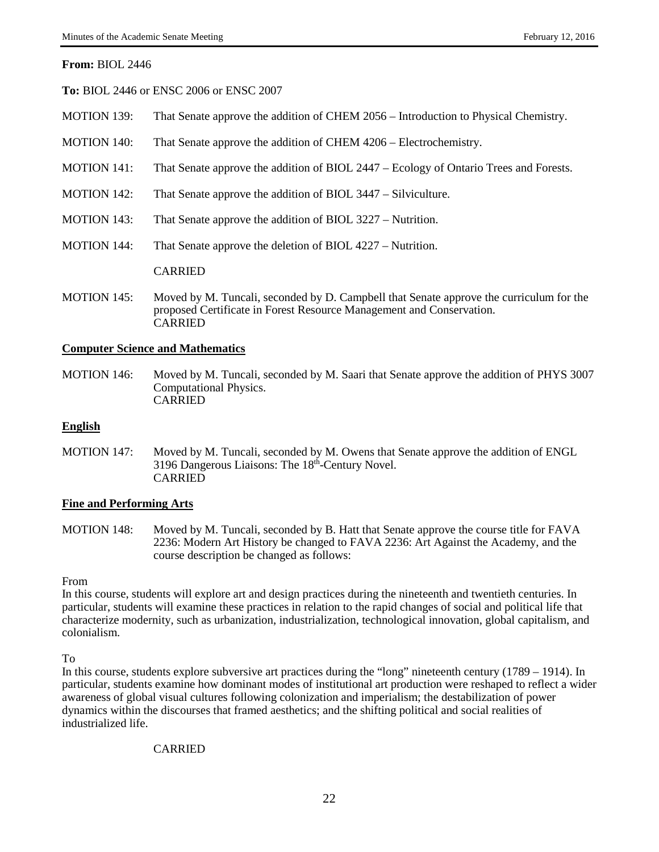### **From:** BIOL 2446

**To:** BIOL 2446 or ENSC 2006 or ENSC 2007

- MOTION 139: That Senate approve the addition of CHEM 2056 Introduction to Physical Chemistry.
- MOTION 140: That Senate approve the addition of CHEM 4206 Electrochemistry.
- MOTION 141: That Senate approve the addition of BIOL 2447 Ecology of Ontario Trees and Forests.
- MOTION 142: That Senate approve the addition of BIOL 3447 Silviculture.
- MOTION 143: That Senate approve the addition of BIOL 3227 Nutrition.
- MOTION 144: That Senate approve the deletion of BIOL 4227 Nutrition.

CARRIED

MOTION 145: Moved by M. Tuncali, seconded by D. Campbell that Senate approve the curriculum for the proposed Certificate in Forest Resource Management and Conservation. CARRIED

## **Computer Science and Mathematics**

MOTION 146: Moved by M. Tuncali, seconded by M. Saari that Senate approve the addition of PHYS 3007 Computational Physics. CARRIED

#### **English**

MOTION 147: Moved by M. Tuncali, seconded by M. Owens that Senate approve the addition of ENGL 3196 Dangerous Liaisons: The 18th-Century Novel. CARRIED

#### **Fine and Performing Arts**

MOTION 148: Moved by M. Tuncali, seconded by B. Hatt that Senate approve the course title for FAVA 2236: Modern Art History be changed to FAVA 2236: Art Against the Academy, and the course description be changed as follows:

From

In this course, students will explore art and design practices during the nineteenth and twentieth centuries. In particular, students will examine these practices in relation to the rapid changes of social and political life that characterize modernity, such as urbanization, industrialization, technological innovation, global capitalism, and colonialism.

To

In this course, students explore subversive art practices during the "long" nineteenth century (1789 – 1914). In particular, students examine how dominant modes of institutional art production were reshaped to reflect a wider awareness of global visual cultures following colonization and imperialism; the destabilization of power dynamics within the discourses that framed aesthetics; and the shifting political and social realities of industrialized life.

## CARRIED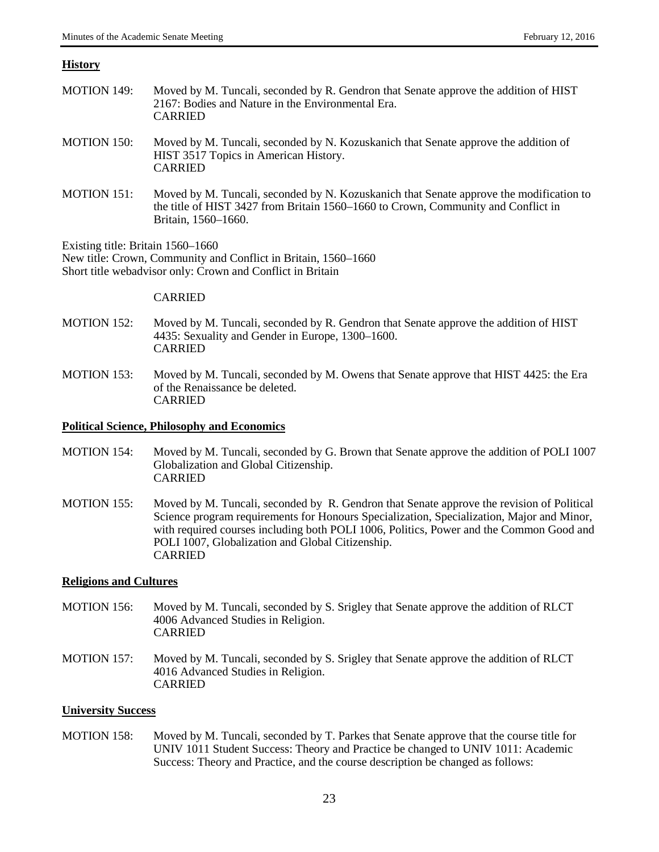### **History**

- MOTION 149: Moved by M. Tuncali, seconded by R. Gendron that Senate approve the addition of HIST 2167: Bodies and Nature in the Environmental Era. CARRIED MOTION 150: Moved by M. Tuncali, seconded by N. Kozuskanich that Senate approve the addition of
- HIST 3517 Topics in American History. CARRIED
- MOTION 151: Moved by M. Tuncali, seconded by N. Kozuskanich that Senate approve the modification to the title of HIST 3427 from Britain 1560–1660 to Crown, Community and Conflict in Britain, 1560–1660.

Existing title: Britain 1560–1660

New title: Crown, Community and Conflict in Britain, 1560–1660 Short title webadvisor only: Crown and Conflict in Britain

#### CARRIED

- MOTION 152: Moved by M. Tuncali, seconded by R. Gendron that Senate approve the addition of HIST 4435: Sexuality and Gender in Europe, 1300–1600. CARRIED
- MOTION 153: Moved by M. Tuncali, seconded by M. Owens that Senate approve that HIST 4425: the Era of the Renaissance be deleted. CARRIED

### **Political Science, Philosophy and Economics**

- MOTION 154: Moved by M. Tuncali, seconded by G. Brown that Senate approve the addition of POLI 1007 Globalization and Global Citizenship. CARRIED
- MOTION 155: Moved by M. Tuncali, seconded by R. Gendron that Senate approve the revision of Political Science program requirements for Honours Specialization, Specialization, Major and Minor, with required courses including both POLI 1006, Politics, Power and the Common Good and POLI 1007, Globalization and Global Citizenship. CARRIED

## **Religions and Cultures**

- MOTION 156: Moved by M. Tuncali, seconded by S. Srigley that Senate approve the addition of RLCT 4006 Advanced Studies in Religion. CARRIED
- MOTION 157: Moved by M. Tuncali, seconded by S. Srigley that Senate approve the addition of RLCT 4016 Advanced Studies in Religion. CARRIED

## **University Success**

MOTION 158: Moved by M. Tuncali, seconded by T. Parkes that Senate approve that the course title for UNIV 1011 Student Success: Theory and Practice be changed to UNIV 1011: Academic Success: Theory and Practice, and the course description be changed as follows: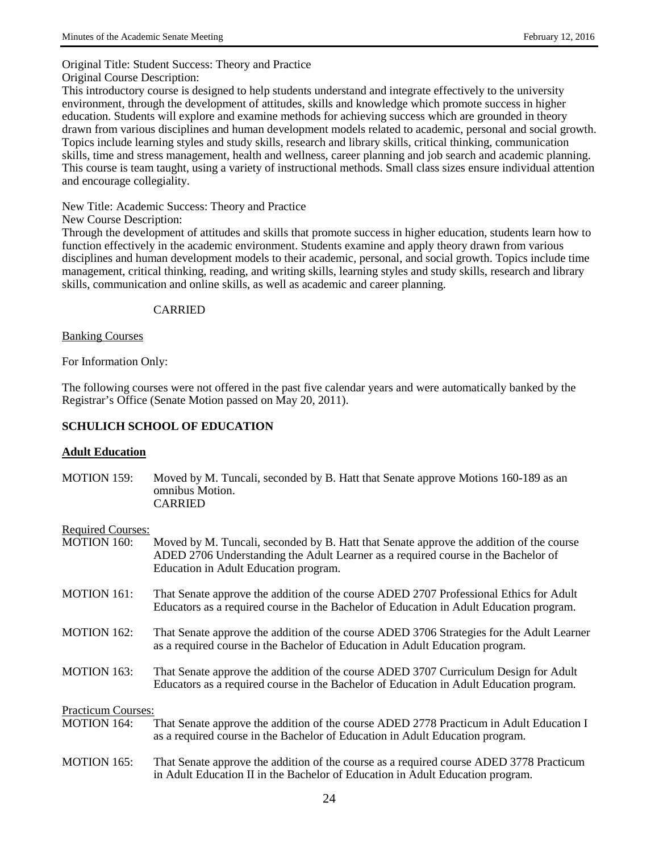Original Title: Student Success: Theory and Practice

Original Course Description:

This introductory course is designed to help students understand and integrate effectively to the university environment, through the development of attitudes, skills and knowledge which promote success in higher education. Students will explore and examine methods for achieving success which are grounded in theory drawn from various disciplines and human development models related to academic, personal and social growth. Topics include learning styles and study skills, research and library skills, critical thinking, communication skills, time and stress management, health and wellness, career planning and job search and academic planning. This course is team taught, using a variety of instructional methods. Small class sizes ensure individual attention and encourage collegiality.

New Title: Academic Success: Theory and Practice

New Course Description:

Through the development of attitudes and skills that promote success in higher education, students learn how to function effectively in the academic environment. Students examine and apply theory drawn from various disciplines and human development models to their academic, personal, and social growth. Topics include time management, critical thinking, reading, and writing skills, learning styles and study skills, research and library skills, communication and online skills, as well as academic and career planning.

## CARRIED

## Banking Courses

For Information Only:

The following courses were not offered in the past five calendar years and were automatically banked by the Registrar's Office (Senate Motion passed on May 20, 2011).

# **SCHULICH SCHOOL OF EDUCATION**

# **Adult Education**

MOTION 159: Moved by M. Tuncali, seconded by B. Hatt that Senate approve Motions 160-189 as an omnibus Motion. CARRIED

## Required Courses:

- MOTION 160: Moved by M. Tuncali, seconded by B. Hatt that Senate approve the addition of the course ADED 2706 Understanding the Adult Learner as a required course in the Bachelor of Education in Adult Education program.
- MOTION 161: That Senate approve the addition of the course ADED 2707 Professional Ethics for Adult Educators as a required course in the Bachelor of Education in Adult Education program.
- MOTION 162: That Senate approve the addition of the course ADED 3706 Strategies for the Adult Learner as a required course in the Bachelor of Education in Adult Education program.
- MOTION 163: That Senate approve the addition of the course ADED 3707 Curriculum Design for Adult Educators as a required course in the Bachelor of Education in Adult Education program.

Practicum Courses:<br>MOTION 164:

- That Senate approve the addition of the course ADED 2778 Practicum in Adult Education I as a required course in the Bachelor of Education in Adult Education program.
- MOTION 165: That Senate approve the addition of the course as a required course ADED 3778 Practicum in Adult Education II in the Bachelor of Education in Adult Education program.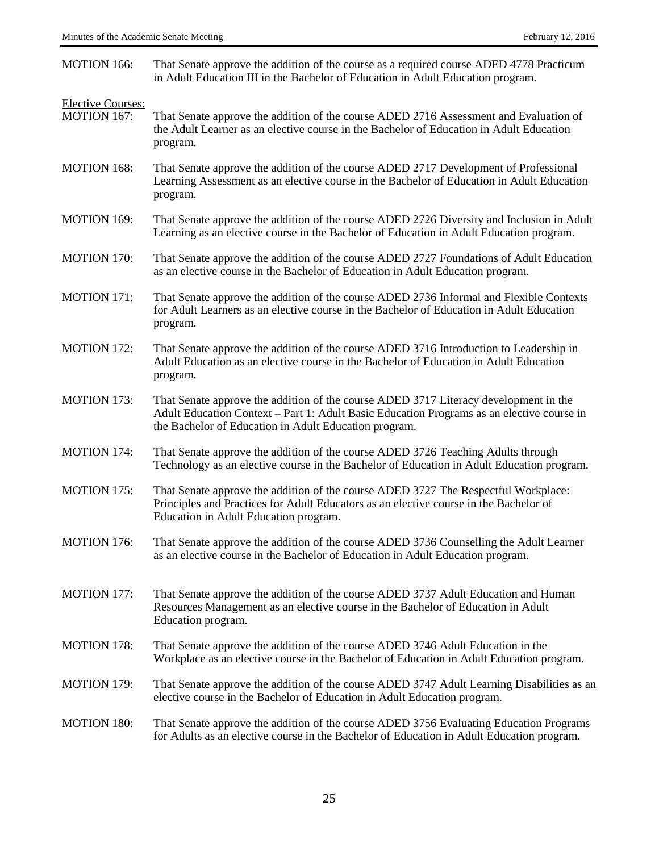| <b>MOTION 166:</b>                             | That Senate approve the addition of the course as a required course ADED 4778 Practicum<br>in Adult Education III in the Bachelor of Education in Adult Education program.                                                                 |
|------------------------------------------------|--------------------------------------------------------------------------------------------------------------------------------------------------------------------------------------------------------------------------------------------|
| <b>Elective Courses:</b><br><b>MOTION 167:</b> | That Senate approve the addition of the course ADED 2716 Assessment and Evaluation of<br>the Adult Learner as an elective course in the Bachelor of Education in Adult Education<br>program.                                               |
| <b>MOTION 168:</b>                             | That Senate approve the addition of the course ADED 2717 Development of Professional<br>Learning Assessment as an elective course in the Bachelor of Education in Adult Education<br>program.                                              |
| MOTION 169:                                    | That Senate approve the addition of the course ADED 2726 Diversity and Inclusion in Adult<br>Learning as an elective course in the Bachelor of Education in Adult Education program.                                                       |
| <b>MOTION 170:</b>                             | That Senate approve the addition of the course ADED 2727 Foundations of Adult Education<br>as an elective course in the Bachelor of Education in Adult Education program.                                                                  |
| <b>MOTION 171:</b>                             | That Senate approve the addition of the course ADED 2736 Informal and Flexible Contexts<br>for Adult Learners as an elective course in the Bachelor of Education in Adult Education<br>program.                                            |
| <b>MOTION 172:</b>                             | That Senate approve the addition of the course ADED 3716 Introduction to Leadership in<br>Adult Education as an elective course in the Bachelor of Education in Adult Education<br>program.                                                |
| <b>MOTION 173:</b>                             | That Senate approve the addition of the course ADED 3717 Literacy development in the<br>Adult Education Context – Part 1: Adult Basic Education Programs as an elective course in<br>the Bachelor of Education in Adult Education program. |
| <b>MOTION 174:</b>                             | That Senate approve the addition of the course ADED 3726 Teaching Adults through<br>Technology as an elective course in the Bachelor of Education in Adult Education program.                                                              |
| <b>MOTION 175:</b>                             | That Senate approve the addition of the course ADED 3727 The Respectful Workplace:<br>Principles and Practices for Adult Educators as an elective course in the Bachelor of<br>Education in Adult Education program.                       |
| <b>MOTION 176:</b>                             | That Senate approve the addition of the course ADED 3736 Counselling the Adult Learner<br>as an elective course in the Bachelor of Education in Adult Education program.                                                                   |
| <b>MOTION 177:</b>                             | That Senate approve the addition of the course ADED 3737 Adult Education and Human<br>Resources Management as an elective course in the Bachelor of Education in Adult<br>Education program.                                               |
| <b>MOTION 178:</b>                             | That Senate approve the addition of the course ADED 3746 Adult Education in the<br>Workplace as an elective course in the Bachelor of Education in Adult Education program.                                                                |
| <b>MOTION 179:</b>                             | That Senate approve the addition of the course ADED 3747 Adult Learning Disabilities as an<br>elective course in the Bachelor of Education in Adult Education program.                                                                     |
| <b>MOTION 180:</b>                             | That Senate approve the addition of the course ADED 3756 Evaluating Education Programs<br>for Adults as an elective course in the Bachelor of Education in Adult Education program.                                                        |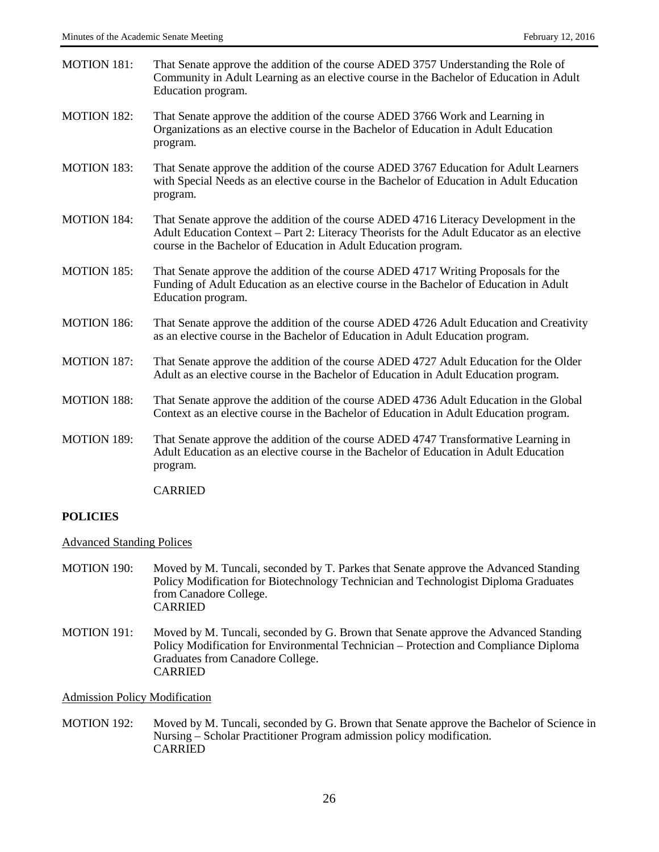| <b>MOTION 181:</b> | That Senate approve the addition of the course ADED 3757 Understanding the Role of<br>Community in Adult Learning as an elective course in the Bachelor of Education in Adult<br>Education program.                                                   |
|--------------------|-------------------------------------------------------------------------------------------------------------------------------------------------------------------------------------------------------------------------------------------------------|
| <b>MOTION 182:</b> | That Senate approve the addition of the course ADED 3766 Work and Learning in<br>Organizations as an elective course in the Bachelor of Education in Adult Education<br>program.                                                                      |
| <b>MOTION 183:</b> | That Senate approve the addition of the course ADED 3767 Education for Adult Learners<br>with Special Needs as an elective course in the Bachelor of Education in Adult Education<br>program.                                                         |
| <b>MOTION 184:</b> | That Senate approve the addition of the course ADED 4716 Literacy Development in the<br>Adult Education Context - Part 2: Literacy Theorists for the Adult Educator as an elective<br>course in the Bachelor of Education in Adult Education program. |
| <b>MOTION 185:</b> | That Senate approve the addition of the course ADED 4717 Writing Proposals for the<br>Funding of Adult Education as an elective course in the Bachelor of Education in Adult<br>Education program.                                                    |
| <b>MOTION 186:</b> | That Senate approve the addition of the course ADED 4726 Adult Education and Creativity<br>as an elective course in the Bachelor of Education in Adult Education program.                                                                             |
| <b>MOTION 187:</b> | That Senate approve the addition of the course ADED 4727 Adult Education for the Older<br>Adult as an elective course in the Bachelor of Education in Adult Education program.                                                                        |
| <b>MOTION 188:</b> | That Senate approve the addition of the course ADED 4736 Adult Education in the Global<br>Context as an elective course in the Bachelor of Education in Adult Education program.                                                                      |
| <b>MOTION 189:</b> | That Senate approve the addition of the course ADED 4747 Transformative Learning in<br>Adult Education as an elective course in the Bachelor of Education in Adult Education<br>program.                                                              |

CARRIED

# **POLICIES**

# Advanced Standing Polices

- MOTION 190: Moved by M. Tuncali, seconded by T. Parkes that Senate approve the Advanced Standing Policy Modification for Biotechnology Technician and Technologist Diploma Graduates from Canadore College. CARRIED
- MOTION 191: Moved by M. Tuncali, seconded by G. Brown that Senate approve the Advanced Standing Policy Modification for Environmental Technician – Protection and Compliance Diploma Graduates from Canadore College. CARRIED

Admission Policy Modification

MOTION 192: Moved by M. Tuncali, seconded by G. Brown that Senate approve the Bachelor of Science in Nursing – Scholar Practitioner Program admission policy modification. CARRIED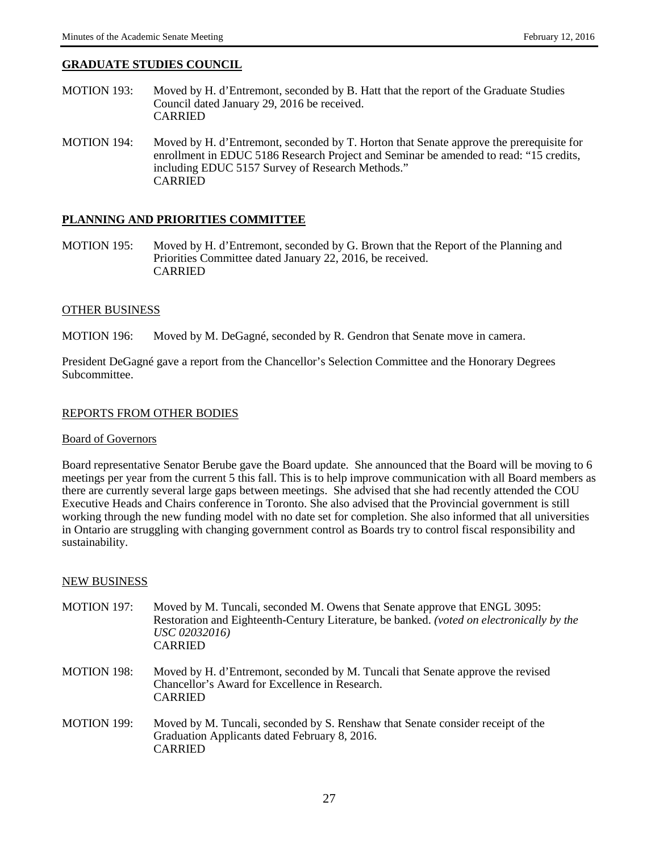## **GRADUATE STUDIES COUNCIL**

- MOTION 193: Moved by H. d'Entremont, seconded by B. Hatt that the report of the Graduate Studies Council dated January 29, 2016 be received. CARRIED
- MOTION 194: Moved by H. d'Entremont, seconded by T. Horton that Senate approve the prerequisite for enrollment in EDUC 5186 Research Project and Seminar be amended to read: "15 credits, including EDUC 5157 Survey of Research Methods." CARRIED

#### **PLANNING AND PRIORITIES COMMITTEE**

MOTION 195: Moved by H. d'Entremont, seconded by G. Brown that the Report of the Planning and Priorities Committee dated January 22, 2016, be received. CARRIED

#### OTHER BUSINESS

MOTION 196: Moved by M. DeGagné, seconded by R. Gendron that Senate move in camera.

President DeGagné gave a report from the Chancellor's Selection Committee and the Honorary Degrees Subcommittee.

#### REPORTS FROM OTHER BODIES

#### Board of Governors

Board representative Senator Berube gave the Board update. She announced that the Board will be moving to 6 meetings per year from the current 5 this fall. This is to help improve communication with all Board members as there are currently several large gaps between meetings. She advised that she had recently attended the COU Executive Heads and Chairs conference in Toronto. She also advised that the Provincial government is still working through the new funding model with no date set for completion. She also informed that all universities in Ontario are struggling with changing government control as Boards try to control fiscal responsibility and sustainability.

#### NEW BUSINESS

- MOTION 197: Moved by M. Tuncali, seconded M. Owens that Senate approve that ENGL 3095: Restoration and Eighteenth-Century Literature, be banked. *(voted on electronically by the USC 02032016)* CARRIED
- MOTION 198: Moved by H. d'Entremont, seconded by M. Tuncali that Senate approve the revised Chancellor's Award for Excellence in Research. CARRIED
- MOTION 199: Moved by M. Tuncali, seconded by S. Renshaw that Senate consider receipt of the Graduation Applicants dated February 8, 2016. CARRIED